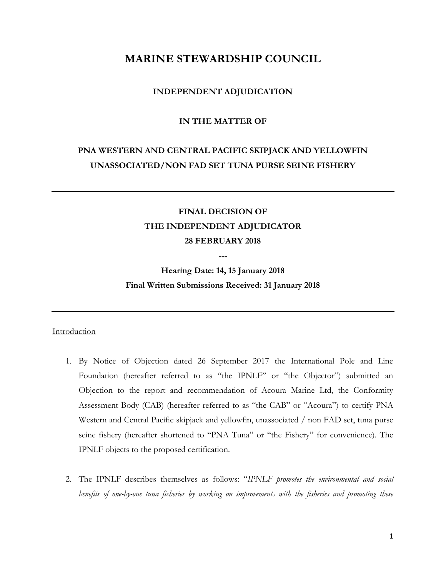# **MARINE STEWARDSHIP COUNCIL**

# **INDEPENDENT ADJUDICATION**

# **IN THE MATTER OF**

# **PNA WESTERN AND CENTRAL PACIFIC SKIPJACK AND YELLOWFIN UNASSOCIATED/NON FAD SET TUNA PURSE SEINE FISHERY**

# **FINAL DECISION OF THE INDEPENDENT ADJUDICATOR 28 FEBRUARY 2018**

**---**

**Hearing Date: 14, 15 January 2018 Final Written Submissions Received: 31 January 2018**

# Introduction

- 1. By Notice of Objection dated 26 September 2017 the International Pole and Line Foundation (hereafter referred to as "the IPNLF" or "the Objector") submitted an Objection to the report and recommendation of Acoura Marine Ltd, the Conformity Assessment Body (CAB) (hereafter referred to as "the CAB" or "Acoura") to certify PNA Western and Central Pacific skipjack and yellowfin, unassociated / non FAD set, tuna purse seine fishery (hereafter shortened to "PNA Tuna" or "the Fishery" for convenience). The IPNLF objects to the proposed certification.
- 2. The IPNLF describes themselves as follows: "*IPNLF promotes the environmental and social benefits of one-by-one tuna fisheries by working on improvements with the fisheries and promoting these*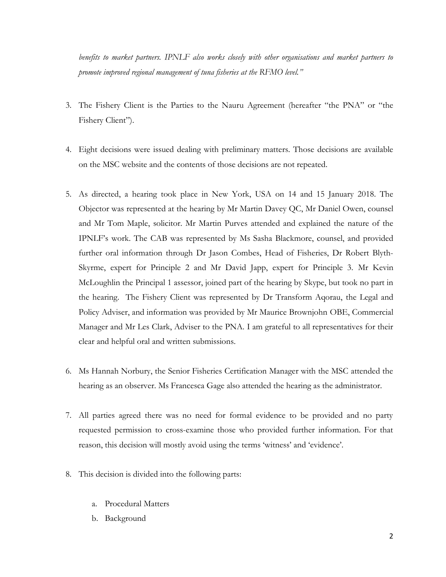*benefits to market partners. IPNLF also works closely with other organisations and market partners to promote improved regional management of tuna fisheries at the RFMO level."*

- 3. The Fishery Client is the Parties to the Nauru Agreement (hereafter "the PNA" or "the Fishery Client").
- 4. Eight decisions were issued dealing with preliminary matters. Those decisions are available on the MSC website and the contents of those decisions are not repeated.
- 5. As directed, a hearing took place in New York, USA on 14 and 15 January 2018. The Objector was represented at the hearing by Mr Martin Davey QC, Mr Daniel Owen, counsel and Mr Tom Maple, solicitor. Mr Martin Purves attended and explained the nature of the IPNLF's work. The CAB was represented by Ms Sasha Blackmore, counsel, and provided further oral information through Dr Jason Combes, Head of Fisheries, Dr Robert Blyth-Skyrme, expert for Principle 2 and Mr David Japp, expert for Principle 3. Mr Kevin McLoughlin the Principal 1 assessor, joined part of the hearing by Skype, but took no part in the hearing. The Fishery Client was represented by Dr Transform Aqorau, the Legal and Policy Adviser, and information was provided by Mr Maurice Brownjohn OBE, Commercial Manager and Mr Les Clark, Adviser to the PNA. I am grateful to all representatives for their clear and helpful oral and written submissions.
- 6. Ms Hannah Norbury, the Senior Fisheries Certification Manager with the MSC attended the hearing as an observer. Ms Francesca Gage also attended the hearing as the administrator.
- 7. All parties agreed there was no need for formal evidence to be provided and no party requested permission to cross-examine those who provided further information. For that reason, this decision will mostly avoid using the terms 'witness' and 'evidence'.
- 8. This decision is divided into the following parts:
	- a. Procedural Matters
	- b. Background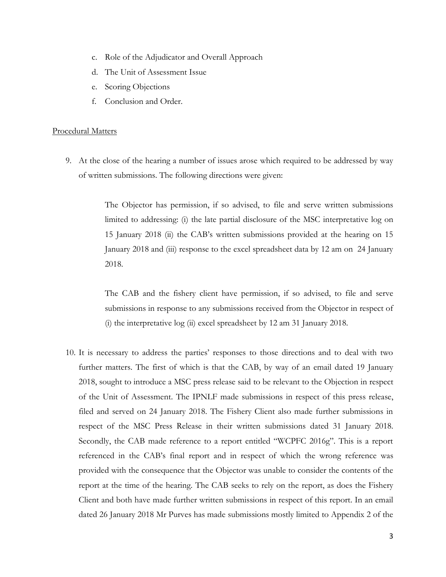- c. Role of the Adjudicator and Overall Approach
- d. The Unit of Assessment Issue
- e. Scoring Objections
- f. Conclusion and Order.

#### Procedural Matters

9. At the close of the hearing a number of issues arose which required to be addressed by way of written submissions. The following directions were given:

> The Objector has permission, if so advised, to file and serve written submissions limited to addressing: (i) the late partial disclosure of the MSC interpretative log on 15 January 2018 (ii) the CAB's written submissions provided at the hearing on 15 January 2018 and (iii) response to the excel spreadsheet data by 12 am on 24 January 2018.

> The CAB and the fishery client have permission, if so advised, to file and serve submissions in response to any submissions received from the Objector in respect of (i) the interpretative log (ii) excel spreadsheet by 12 am 31 January 2018.

10. It is necessary to address the parties' responses to those directions and to deal with two further matters. The first of which is that the CAB, by way of an email dated 19 January 2018, sought to introduce a MSC press release said to be relevant to the Objection in respect of the Unit of Assessment. The IPNLF made submissions in respect of this press release, filed and served on 24 January 2018. The Fishery Client also made further submissions in respect of the MSC Press Release in their written submissions dated 31 January 2018. Secondly, the CAB made reference to a report entitled "WCPFC 2016g". This is a report referenced in the CAB's final report and in respect of which the wrong reference was provided with the consequence that the Objector was unable to consider the contents of the report at the time of the hearing. The CAB seeks to rely on the report, as does the Fishery Client and both have made further written submissions in respect of this report. In an email dated 26 January 2018 Mr Purves has made submissions mostly limited to Appendix 2 of the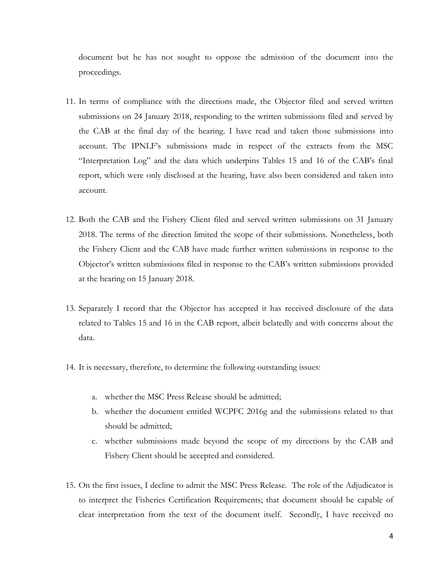document but he has not sought to oppose the admission of the document into the proceedings.

- 11. In terms of compliance with the directions made, the Objector filed and served written submissions on 24 January 2018, responding to the written submissions filed and served by the CAB at the final day of the hearing. I have read and taken those submissions into account. The IPNLF's submissions made in respect of the extracts from the MSC "Interpretation Log" and the data which underpins Tables 15 and 16 of the CAB's final report, which were only disclosed at the hearing, have also been considered and taken into account.
- 12. Both the CAB and the Fishery Client filed and served written submissions on 31 January 2018. The terms of the direction limited the scope of their submissions. Nonetheless, both the Fishery Client and the CAB have made further written submissions in response to the Objector's written submissions filed in response to the CAB's written submissions provided at the hearing on 15 January 2018.
- 13. Separately I record that the Objector has accepted it has received disclosure of the data related to Tables 15 and 16 in the CAB report, albeit belatedly and with concerns about the data.
- 14. It is necessary, therefore, to determine the following outstanding issues:
	- a. whether the MSC Press Release should be admitted;
	- b. whether the document entitled WCPFC 2016g and the submissions related to that should be admitted;
	- c. whether submissions made beyond the scope of my directions by the CAB and Fishery Client should be accepted and considered.
- 15. On the first issues, I decline to admit the MSC Press Release. The role of the Adjudicator is to interpret the Fisheries Certification Requirements; that document should be capable of clear interpretation from the text of the document itself. Secondly, I have received no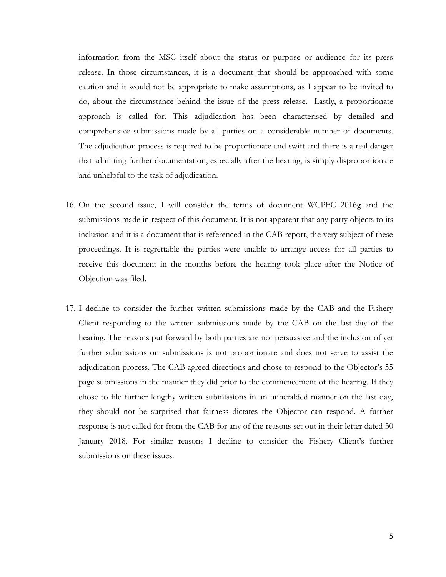information from the MSC itself about the status or purpose or audience for its press release. In those circumstances, it is a document that should be approached with some caution and it would not be appropriate to make assumptions, as I appear to be invited to do, about the circumstance behind the issue of the press release. Lastly, a proportionate approach is called for. This adjudication has been characterised by detailed and comprehensive submissions made by all parties on a considerable number of documents. The adjudication process is required to be proportionate and swift and there is a real danger that admitting further documentation, especially after the hearing, is simply disproportionate and unhelpful to the task of adjudication.

- 16. On the second issue, I will consider the terms of document WCPFC 2016g and the submissions made in respect of this document. It is not apparent that any party objects to its inclusion and it is a document that is referenced in the CAB report, the very subject of these proceedings. It is regrettable the parties were unable to arrange access for all parties to receive this document in the months before the hearing took place after the Notice of Objection was filed.
- 17. I decline to consider the further written submissions made by the CAB and the Fishery Client responding to the written submissions made by the CAB on the last day of the hearing. The reasons put forward by both parties are not persuasive and the inclusion of yet further submissions on submissions is not proportionate and does not serve to assist the adjudication process. The CAB agreed directions and chose to respond to the Objector's 55 page submissions in the manner they did prior to the commencement of the hearing. If they chose to file further lengthy written submissions in an unheralded manner on the last day, they should not be surprised that fairness dictates the Objector can respond. A further response is not called for from the CAB for any of the reasons set out in their letter dated 30 January 2018. For similar reasons I decline to consider the Fishery Client's further submissions on these issues.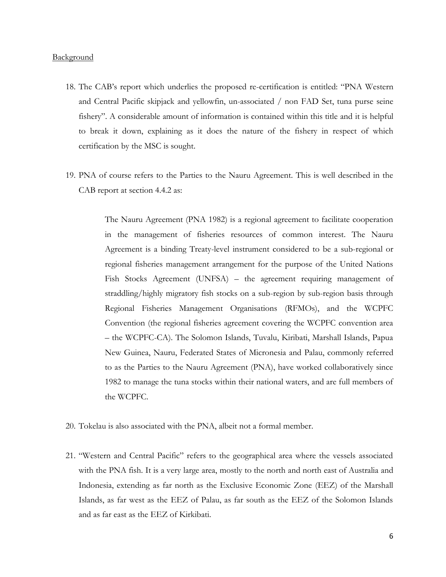#### **Background**

- 18. The CAB's report which underlies the proposed re-certification is entitled: "PNA Western and Central Pacific skipjack and yellowfin, un-associated / non FAD Set, tuna purse seine fishery". A considerable amount of information is contained within this title and it is helpful to break it down, explaining as it does the nature of the fishery in respect of which certification by the MSC is sought.
- 19. PNA of course refers to the Parties to the Nauru Agreement. This is well described in the CAB report at section 4.4.2 as:

The Nauru Agreement (PNA 1982) is a regional agreement to facilitate cooperation in the management of fisheries resources of common interest. The Nauru Agreement is a binding Treaty-level instrument considered to be a sub-regional or regional fisheries management arrangement for the purpose of the United Nations Fish Stocks Agreement (UNFSA) – the agreement requiring management of straddling/highly migratory fish stocks on a sub-region by sub-region basis through Regional Fisheries Management Organisations (RFMOs), and the WCPFC Convention (the regional fisheries agreement covering the WCPFC convention area – the WCPFC-CA). The Solomon Islands, Tuvalu, Kiribati, Marshall Islands, Papua New Guinea, Nauru, Federated States of Micronesia and Palau, commonly referred to as the Parties to the Nauru Agreement (PNA), have worked collaboratively since 1982 to manage the tuna stocks within their national waters, and are full members of the WCPFC.

- 20. Tokelau is also associated with the PNA, albeit not a formal member.
- 21. "Western and Central Pacific" refers to the geographical area where the vessels associated with the PNA fish. It is a very large area, mostly to the north and north east of Australia and Indonesia, extending as far north as the Exclusive Economic Zone (EEZ) of the Marshall Islands, as far west as the EEZ of Palau, as far south as the EEZ of the Solomon Islands and as far east as the EEZ of Kirkibati.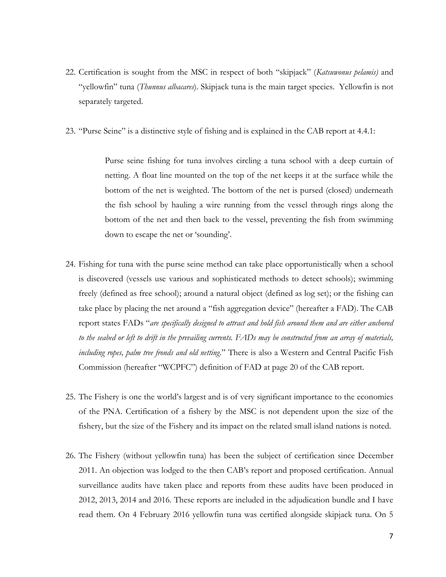- 22. Certification is sought from the MSC in respect of both "skipjack" (*Katsuwonus pelamis)* and "yellowfin" tuna (*Thunnus albacares*). Skipjack tuna is the main target species. Yellowfin is not separately targeted.
- 23. "Purse Seine" is a distinctive style of fishing and is explained in the CAB report at 4.4.1:

Purse seine fishing for tuna involves circling a tuna school with a deep curtain of netting. A float line mounted on the top of the net keeps it at the surface while the bottom of the net is weighted. The bottom of the net is pursed (closed) underneath the fish school by hauling a wire running from the vessel through rings along the bottom of the net and then back to the vessel, preventing the fish from swimming down to escape the net or 'sounding'.

- 24. Fishing for tuna with the purse seine method can take place opportunistically when a school is discovered (vessels use various and sophisticated methods to detect schools); swimming freely (defined as free school); around a natural object (defined as log set); or the fishing can take place by placing the net around a "fish aggregation device" (hereafter a FAD). The CAB report states FADs "*are specifically designed to attract and hold fish around them and are either anchored to the seabed or left to drift in the prevailing currents. FADs may be constructed from an array of materials, including ropes, palm tree fronds and old netting*." There is also a Western and Central Pacific Fish Commission (hereafter "WCPFC") definition of FAD at page 20 of the CAB report.
- 25. The Fishery is one the world's largest and is of very significant importance to the economies of the PNA. Certification of a fishery by the MSC is not dependent upon the size of the fishery, but the size of the Fishery and its impact on the related small island nations is noted.
- 26. The Fishery (without yellowfin tuna) has been the subject of certification since December 2011. An objection was lodged to the then CAB's report and proposed certification. Annual surveillance audits have taken place and reports from these audits have been produced in 2012, 2013, 2014 and 2016. These reports are included in the adjudication bundle and I have read them. On 4 February 2016 yellowfin tuna was certified alongside skipjack tuna. On 5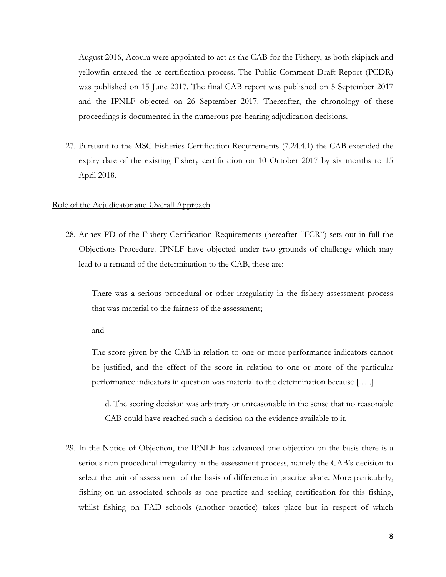August 2016, Acoura were appointed to act as the CAB for the Fishery, as both skipjack and yellowfin entered the re-certification process. The Public Comment Draft Report (PCDR) was published on 15 June 2017. The final CAB report was published on 5 September 2017 and the IPNLF objected on 26 September 2017. Thereafter, the chronology of these proceedings is documented in the numerous pre-hearing adjudication decisions.

27. Pursuant to the MSC Fisheries Certification Requirements (7.24.4.1) the CAB extended the expiry date of the existing Fishery certification on 10 October 2017 by six months to 15 April 2018.

#### Role of the Adjudicator and Overall Approach

28. Annex PD of the Fishery Certification Requirements (hereafter "FCR") sets out in full the Objections Procedure. IPNLF have objected under two grounds of challenge which may lead to a remand of the determination to the CAB, these are:

There was a serious procedural or other irregularity in the fishery assessment process that was material to the fairness of the assessment;

and

The score given by the CAB in relation to one or more performance indicators cannot be justified, and the effect of the score in relation to one or more of the particular performance indicators in question was material to the determination because [ ….]

d. The scoring decision was arbitrary or unreasonable in the sense that no reasonable CAB could have reached such a decision on the evidence available to it.

29. In the Notice of Objection, the IPNLF has advanced one objection on the basis there is a serious non-procedural irregularity in the assessment process, namely the CAB's decision to select the unit of assessment of the basis of difference in practice alone. More particularly, fishing on un-associated schools as one practice and seeking certification for this fishing, whilst fishing on FAD schools (another practice) takes place but in respect of which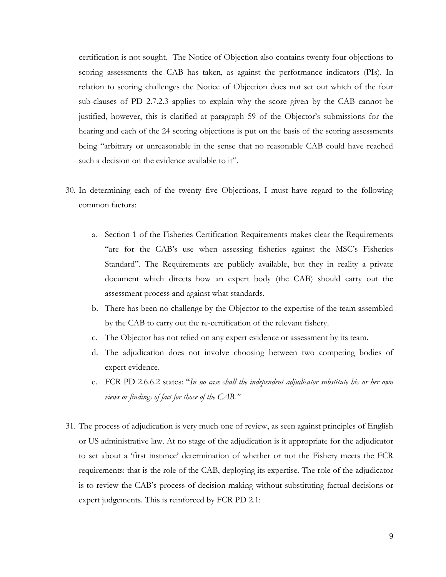certification is not sought. The Notice of Objection also contains twenty four objections to scoring assessments the CAB has taken, as against the performance indicators (PIs). In relation to scoring challenges the Notice of Objection does not set out which of the four sub-clauses of PD 2.7.2.3 applies to explain why the score given by the CAB cannot be justified, however, this is clarified at paragraph 59 of the Objector's submissions for the hearing and each of the 24 scoring objections is put on the basis of the scoring assessments being "arbitrary or unreasonable in the sense that no reasonable CAB could have reached such a decision on the evidence available to it".

- 30. In determining each of the twenty five Objections, I must have regard to the following common factors:
	- a. Section 1 of the Fisheries Certification Requirements makes clear the Requirements "are for the CAB's use when assessing fisheries against the MSC's Fisheries Standard". The Requirements are publicly available, but they in reality a private document which directs how an expert body (the CAB) should carry out the assessment process and against what standards.
	- b. There has been no challenge by the Objector to the expertise of the team assembled by the CAB to carry out the re-certification of the relevant fishery.
	- c. The Objector has not relied on any expert evidence or assessment by its team.
	- d. The adjudication does not involve choosing between two competing bodies of expert evidence.
	- e. FCR PD 2.6.6.2 states: "*In no case shall the independent adjudicator substitute his or her own views or findings of fact for those of the CAB."*
- 31. The process of adjudication is very much one of review, as seen against principles of English or US administrative law. At no stage of the adjudication is it appropriate for the adjudicator to set about a 'first instance' determination of whether or not the Fishery meets the FCR requirements: that is the role of the CAB, deploying its expertise. The role of the adjudicator is to review the CAB's process of decision making without substituting factual decisions or expert judgements. This is reinforced by FCR PD 2.1: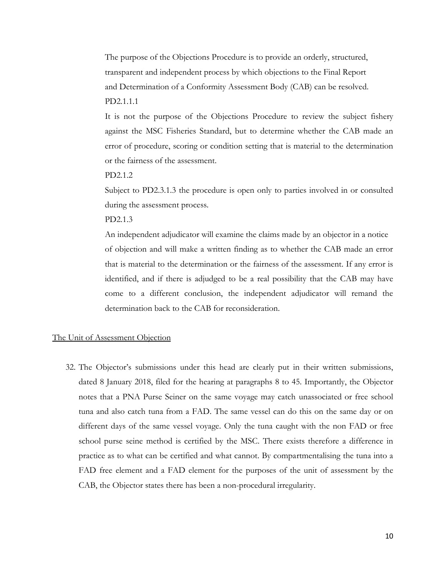The purpose of the Objections Procedure is to provide an orderly, structured, transparent and independent process by which objections to the Final Report and Determination of a Conformity Assessment Body (CAB) can be resolved. PD2.1.1.1

It is not the purpose of the Objections Procedure to review the subject fishery against the MSC Fisheries Standard, but to determine whether the CAB made an error of procedure, scoring or condition setting that is material to the determination or the fairness of the assessment.

PD2.1.2

Subject to PD2.3.1.3 the procedure is open only to parties involved in or consulted during the assessment process.

PD2.1.3

An independent adjudicator will examine the claims made by an objector in a notice of objection and will make a written finding as to whether the CAB made an error that is material to the determination or the fairness of the assessment. If any error is identified, and if there is adjudged to be a real possibility that the CAB may have come to a different conclusion, the independent adjudicator will remand the determination back to the CAB for reconsideration.

# The Unit of Assessment Objection

32. The Objector's submissions under this head are clearly put in their written submissions, dated 8 January 2018, filed for the hearing at paragraphs 8 to 45. Importantly, the Objector notes that a PNA Purse Seiner on the same voyage may catch unassociated or free school tuna and also catch tuna from a FAD. The same vessel can do this on the same day or on different days of the same vessel voyage. Only the tuna caught with the non FAD or free school purse seine method is certified by the MSC. There exists therefore a difference in practice as to what can be certified and what cannot. By compartmentalising the tuna into a FAD free element and a FAD element for the purposes of the unit of assessment by the CAB, the Objector states there has been a non-procedural irregularity.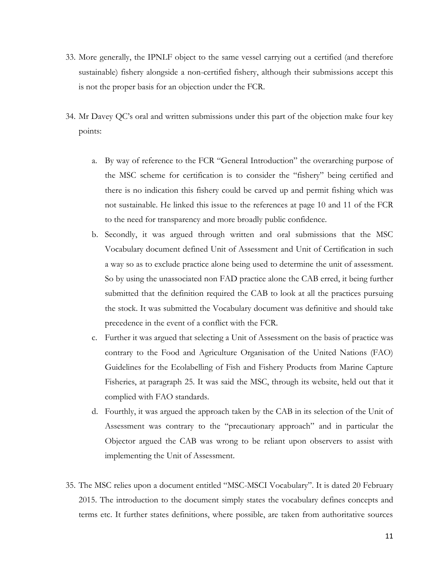- 33. More generally, the IPNLF object to the same vessel carrying out a certified (and therefore sustainable) fishery alongside a non-certified fishery, although their submissions accept this is not the proper basis for an objection under the FCR.
- 34. Mr Davey QC's oral and written submissions under this part of the objection make four key points:
	- a. By way of reference to the FCR "General Introduction" the overarching purpose of the MSC scheme for certification is to consider the "fishery" being certified and there is no indication this fishery could be carved up and permit fishing which was not sustainable. He linked this issue to the references at page 10 and 11 of the FCR to the need for transparency and more broadly public confidence.
	- b. Secondly, it was argued through written and oral submissions that the MSC Vocabulary document defined Unit of Assessment and Unit of Certification in such a way so as to exclude practice alone being used to determine the unit of assessment. So by using the unassociated non FAD practice alone the CAB erred, it being further submitted that the definition required the CAB to look at all the practices pursuing the stock. It was submitted the Vocabulary document was definitive and should take precedence in the event of a conflict with the FCR.
	- c. Further it was argued that selecting a Unit of Assessment on the basis of practice was contrary to the Food and Agriculture Organisation of the United Nations (FAO) Guidelines for the Ecolabelling of Fish and Fishery Products from Marine Capture Fisheries, at paragraph 25. It was said the MSC, through its website, held out that it complied with FAO standards.
	- d. Fourthly, it was argued the approach taken by the CAB in its selection of the Unit of Assessment was contrary to the "precautionary approach" and in particular the Objector argued the CAB was wrong to be reliant upon observers to assist with implementing the Unit of Assessment.
- 35. The MSC relies upon a document entitled "MSC-MSCI Vocabulary". It is dated 20 February 2015. The introduction to the document simply states the vocabulary defines concepts and terms etc. It further states definitions, where possible, are taken from authoritative sources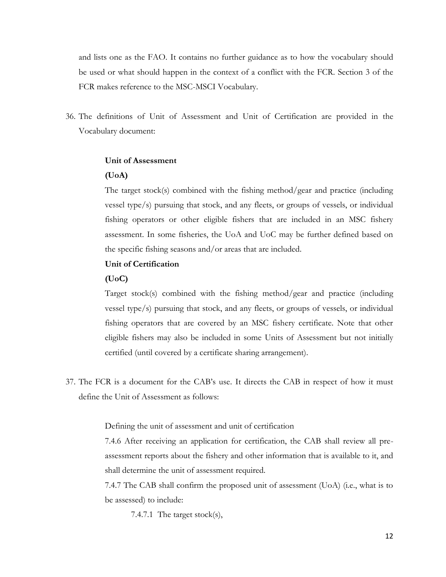and lists one as the FAO. It contains no further guidance as to how the vocabulary should be used or what should happen in the context of a conflict with the FCR. Section 3 of the FCR makes reference to the MSC-MSCI Vocabulary.

36. The definitions of Unit of Assessment and Unit of Certification are provided in the Vocabulary document:

# **Unit of Assessment**

# **(UoA)**

The target stock(s) combined with the fishing method/gear and practice (including vessel type/s) pursuing that stock, and any fleets, or groups of vessels, or individual fishing operators or other eligible fishers that are included in an MSC fishery assessment. In some fisheries, the UoA and UoC may be further defined based on the specific fishing seasons and/or areas that are included.

# **Unit of Certification**

#### **(UoC)**

Target stock(s) combined with the fishing method/gear and practice (including vessel type/s) pursuing that stock, and any fleets, or groups of vessels, or individual fishing operators that are covered by an MSC fishery certificate. Note that other eligible fishers may also be included in some Units of Assessment but not initially certified (until covered by a certificate sharing arrangement).

37. The FCR is a document for the CAB's use. It directs the CAB in respect of how it must define the Unit of Assessment as follows:

Defining the unit of assessment and unit of certification

7.4.6 After receiving an application for certification, the CAB shall review all preassessment reports about the fishery and other information that is available to it, and shall determine the unit of assessment required.

7.4.7 The CAB shall confirm the proposed unit of assessment (UoA) (i.e., what is to be assessed) to include:

7.4.7.1 The target stock(s),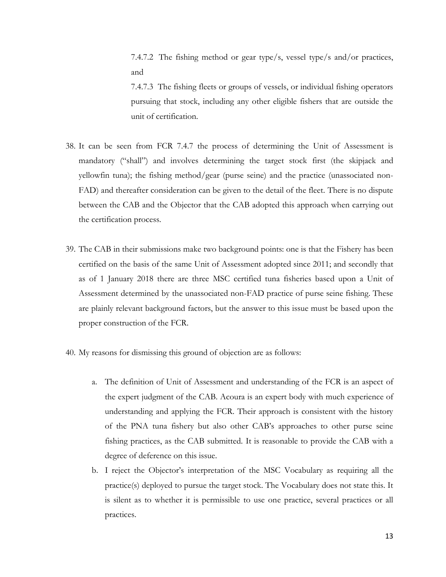7.4.7.2 The fishing method or gear type/s, vessel type/s and/or practices, and 7.4.7.3 The fishing fleets or groups of vessels, or individual fishing operators pursuing that stock, including any other eligible fishers that are outside the unit of certification.

- 38. It can be seen from FCR 7.4.7 the process of determining the Unit of Assessment is mandatory ("shall") and involves determining the target stock first (the skipjack and yellowfin tuna); the fishing method/gear (purse seine) and the practice (unassociated non-FAD) and thereafter consideration can be given to the detail of the fleet. There is no dispute between the CAB and the Objector that the CAB adopted this approach when carrying out the certification process.
- 39. The CAB in their submissions make two background points: one is that the Fishery has been certified on the basis of the same Unit of Assessment adopted since 2011; and secondly that as of 1 January 2018 there are three MSC certified tuna fisheries based upon a Unit of Assessment determined by the unassociated non-FAD practice of purse seine fishing. These are plainly relevant background factors, but the answer to this issue must be based upon the proper construction of the FCR.
- 40. My reasons for dismissing this ground of objection are as follows:
	- a. The definition of Unit of Assessment and understanding of the FCR is an aspect of the expert judgment of the CAB. Acoura is an expert body with much experience of understanding and applying the FCR. Their approach is consistent with the history of the PNA tuna fishery but also other CAB's approaches to other purse seine fishing practices, as the CAB submitted. It is reasonable to provide the CAB with a degree of deference on this issue.
	- b. I reject the Objector's interpretation of the MSC Vocabulary as requiring all the practice(s) deployed to pursue the target stock. The Vocabulary does not state this. It is silent as to whether it is permissible to use one practice, several practices or all practices.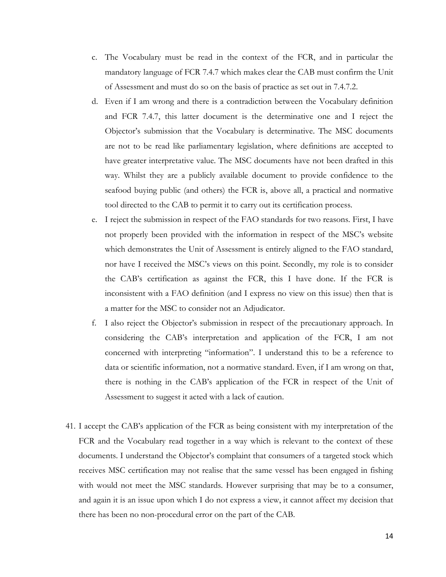- c. The Vocabulary must be read in the context of the FCR, and in particular the mandatory language of FCR 7.4.7 which makes clear the CAB must confirm the Unit of Assessment and must do so on the basis of practice as set out in 7.4.7.2.
- d. Even if I am wrong and there is a contradiction between the Vocabulary definition and FCR 7.4.7, this latter document is the determinative one and I reject the Objector's submission that the Vocabulary is determinative. The MSC documents are not to be read like parliamentary legislation, where definitions are accepted to have greater interpretative value. The MSC documents have not been drafted in this way. Whilst they are a publicly available document to provide confidence to the seafood buying public (and others) the FCR is, above all, a practical and normative tool directed to the CAB to permit it to carry out its certification process.
- e. I reject the submission in respect of the FAO standards for two reasons. First, I have not properly been provided with the information in respect of the MSC's website which demonstrates the Unit of Assessment is entirely aligned to the FAO standard, nor have I received the MSC's views on this point. Secondly, my role is to consider the CAB's certification as against the FCR, this I have done. If the FCR is inconsistent with a FAO definition (and I express no view on this issue) then that is a matter for the MSC to consider not an Adjudicator.
- f. I also reject the Objector's submission in respect of the precautionary approach. In considering the CAB's interpretation and application of the FCR, I am not concerned with interpreting "information". I understand this to be a reference to data or scientific information, not a normative standard. Even, if I am wrong on that, there is nothing in the CAB's application of the FCR in respect of the Unit of Assessment to suggest it acted with a lack of caution.
- 41. I accept the CAB's application of the FCR as being consistent with my interpretation of the FCR and the Vocabulary read together in a way which is relevant to the context of these documents. I understand the Objector's complaint that consumers of a targeted stock which receives MSC certification may not realise that the same vessel has been engaged in fishing with would not meet the MSC standards. However surprising that may be to a consumer, and again it is an issue upon which I do not express a view, it cannot affect my decision that there has been no non-procedural error on the part of the CAB.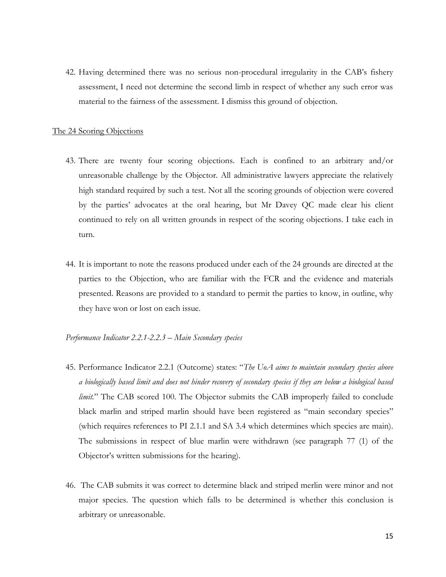42. Having determined there was no serious non-procedural irregularity in the CAB's fishery assessment, I need not determine the second limb in respect of whether any such error was material to the fairness of the assessment. I dismiss this ground of objection.

#### The 24 Scoring Objections

- 43. There are twenty four scoring objections. Each is confined to an arbitrary and/or unreasonable challenge by the Objector. All administrative lawyers appreciate the relatively high standard required by such a test. Not all the scoring grounds of objection were covered by the parties' advocates at the oral hearing, but Mr Davey QC made clear his client continued to rely on all written grounds in respect of the scoring objections. I take each in turn.
- 44. It is important to note the reasons produced under each of the 24 grounds are directed at the parties to the Objection, who are familiar with the FCR and the evidence and materials presented. Reasons are provided to a standard to permit the parties to know, in outline, why they have won or lost on each issue.

# *Performance Indicator 2.2.1-2.2.3 – Main Secondary species*

- 45. Performance Indicator 2.2.1 (Outcome) states: "*The UoA aims to maintain secondary species above a biologically based limit and does not hinder recovery of secondary species if they are below a biological based limit.*" The CAB scored 100. The Objector submits the CAB improperly failed to conclude black marlin and striped marlin should have been registered as "main secondary species" (which requires references to PI 2.1.1 and SA 3.4 which determines which species are main). The submissions in respect of blue marlin were withdrawn (see paragraph 77 (1) of the Objector's written submissions for the hearing).
- 46. The CAB submits it was correct to determine black and striped merlin were minor and not major species. The question which falls to be determined is whether this conclusion is arbitrary or unreasonable.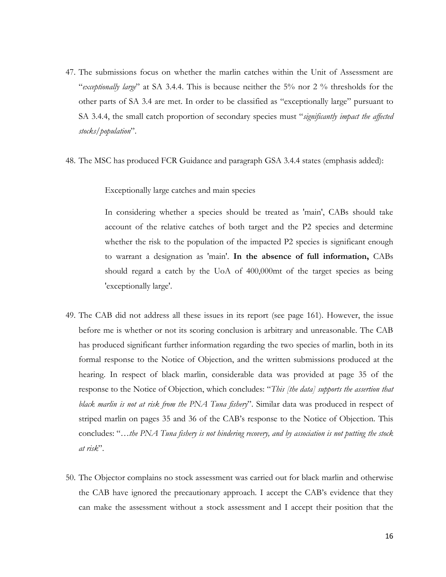- 47. The submissions focus on whether the marlin catches within the Unit of Assessment are "*exceptionally large*" at SA 3.4.4. This is because neither the 5% nor 2 % thresholds for the other parts of SA 3.4 are met. In order to be classified as "exceptionally large" pursuant to SA 3.4.4, the small catch proportion of secondary species must "*significantly impact the affected stocks/population*".
- 48. The MSC has produced FCR Guidance and paragraph GSA 3.4.4 states (emphasis added):

Exceptionally large catches and main species

In considering whether a species should be treated as 'main', CABs should take account of the relative catches of both target and the P2 species and determine whether the risk to the population of the impacted P2 species is significant enough to warrant a designation as 'main'. **In the absence of full information,** CABs should regard a catch by the UoA of 400,000mt of the target species as being 'exceptionally large'.

- 49. The CAB did not address all these issues in its report (see page 161). However, the issue before me is whether or not its scoring conclusion is arbitrary and unreasonable. The CAB has produced significant further information regarding the two species of marlin, both in its formal response to the Notice of Objection, and the written submissions produced at the hearing. In respect of black marlin, considerable data was provided at page 35 of the response to the Notice of Objection, which concludes: "*This [the data] supports the assertion that black marlin is not at risk from the PNA Tuna fishery*". Similar data was produced in respect of striped marlin on pages 35 and 36 of the CAB's response to the Notice of Objection. This concludes: "*…the PNA Tuna fishery is not hindering recovery, and by association is not putting the stock at risk*".
- 50. The Objector complains no stock assessment was carried out for black marlin and otherwise the CAB have ignored the precautionary approach. I accept the CAB's evidence that they can make the assessment without a stock assessment and I accept their position that the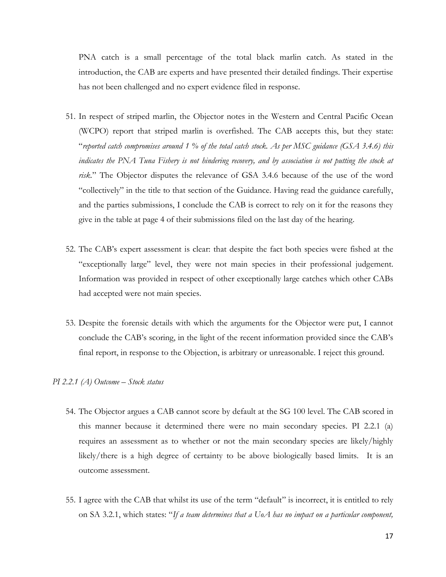PNA catch is a small percentage of the total black marlin catch. As stated in the introduction, the CAB are experts and have presented their detailed findings. Their expertise has not been challenged and no expert evidence filed in response.

- 51. In respect of striped marlin, the Objector notes in the Western and Central Pacific Ocean (WCPO) report that striped marlin is overfished. The CAB accepts this, but they state: "*reported catch compromises around 1 % of the total catch stock. As per MSC guidance (GSA 3.4.6) this indicates the PNA Tuna Fishery is not hindering recovery, and by association is not putting the stock at risk.*" The Objector disputes the relevance of GSA 3.4.6 because of the use of the word "collectively" in the title to that section of the Guidance. Having read the guidance carefully, and the parties submissions, I conclude the CAB is correct to rely on it for the reasons they give in the table at page 4 of their submissions filed on the last day of the hearing.
- 52. The CAB's expert assessment is clear: that despite the fact both species were fished at the "exceptionally large" level, they were not main species in their professional judgement. Information was provided in respect of other exceptionally large catches which other CABs had accepted were not main species.
- 53. Despite the forensic details with which the arguments for the Objector were put, I cannot conclude the CAB's scoring, in the light of the recent information provided since the CAB's final report, in response to the Objection, is arbitrary or unreasonable. I reject this ground.

#### *PI 2.2.1 (A) Outcome – Stock status*

- 54. The Objector argues a CAB cannot score by default at the SG 100 level. The CAB scored in this manner because it determined there were no main secondary species. PI 2.2.1 (a) requires an assessment as to whether or not the main secondary species are likely/highly likely/there is a high degree of certainty to be above biologically based limits. It is an outcome assessment.
- 55. I agree with the CAB that whilst its use of the term "default" is incorrect, it is entitled to rely on SA 3.2.1, which states: "*If a team determines that a UoA has no impact on a particular component,*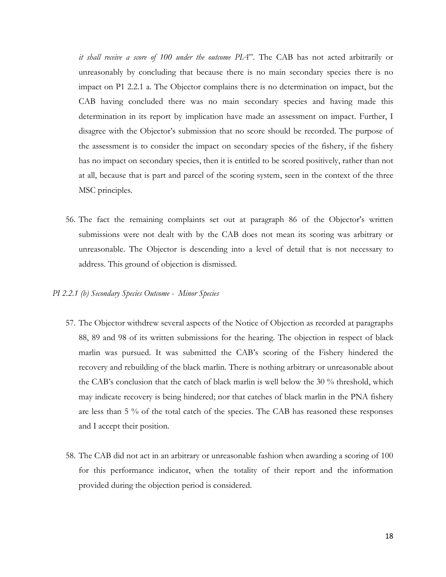*it shall receive a score of 100 under the outcome PIA*". The CAB has not acted arbitrarily or unreasonably by concluding that because there is no main secondary species there is no impact on P1 2.2.1 a. The Objector complains there is no determination on impact, but the CAB having concluded there was no main secondary species and having made this determination in its report by implication have made an assessment on impact. Further, I disagree with the Objector's submission that no score should be recorded. The purpose of the assessment is to consider the impact on secondary species of the fishery, if the fishery has no impact on secondary species, then it is entitled to be scored positively, rather than not at all, because that is part and parcel of the scoring system, seen in the context of the three MSC principles.

56. The fact the remaining complaints set out at paragraph 86 of the Objector's written submissions were not dealt with by the CAB does not mean its scoring was arbitrary or unreasonable. The Objector is descending into a level of detail that is not necessary to address. This ground of objection is dismissed.

#### *PI 2.2.1 (b) Secondary Species Outcome - Minor Species*

- 57. The Objector withdrew several aspects of the Notice of Objection as recorded at paragraphs 88, 89 and 98 of its written submissions for the hearing. The objection in respect of black marlin was pursued. It was submitted the CAB's scoring of the Fishery hindered the recovery and rebuilding of the black marlin. There is nothing arbitrary or unreasonable about the CAB's conclusion that the catch of black marlin is well below the 30 % threshold, which may indicate recovery is being hindered; nor that catches of black marlin in the PNA fishery are less than 5 % of the total catch of the species. The CAB has reasoned these responses and I accept their position.
- 58. The CAB did not act in an arbitrary or unreasonable fashion when awarding a scoring of 100 for this performance indicator, when the totality of their report and the information provided during the objection period is considered.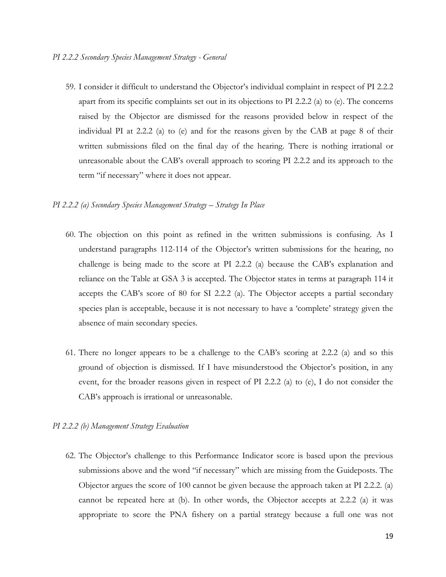59. I consider it difficult to understand the Objector's individual complaint in respect of PI 2.2.2 apart from its specific complaints set out in its objections to PI 2.2.2 (a) to (e). The concerns raised by the Objector are dismissed for the reasons provided below in respect of the individual PI at 2.2.2 (a) to (e) and for the reasons given by the CAB at page 8 of their written submissions filed on the final day of the hearing. There is nothing irrational or unreasonable about the CAB's overall approach to scoring PI 2.2.2 and its approach to the term "if necessary" where it does not appear.

# *PI 2.2.2 (a) Secondary Species Management Strategy – Strategy In Place*

- 60. The objection on this point as refined in the written submissions is confusing. As I understand paragraphs 112-114 of the Objector's written submissions for the hearing, no challenge is being made to the score at PI 2.2.2 (a) because the CAB's explanation and reliance on the Table at GSA 3 is accepted. The Objector states in terms at paragraph 114 it accepts the CAB's score of 80 for SI 2.2.2 (a). The Objector accepts a partial secondary species plan is acceptable, because it is not necessary to have a 'complete' strategy given the absence of main secondary species.
- 61. There no longer appears to be a challenge to the CAB's scoring at 2.2.2 (a) and so this ground of objection is dismissed. If I have misunderstood the Objector's position, in any event, for the broader reasons given in respect of PI 2.2.2 (a) to (e), I do not consider the CAB's approach is irrational or unreasonable.

#### *PI 2.2.2 (b) Management Strategy Evaluation*

62. The Objector's challenge to this Performance Indicator score is based upon the previous submissions above and the word "if necessary" which are missing from the Guideposts. The Objector argues the score of 100 cannot be given because the approach taken at PI 2.2.2. (a) cannot be repeated here at (b). In other words, the Objector accepts at 2.2.2 (a) it was appropriate to score the PNA fishery on a partial strategy because a full one was not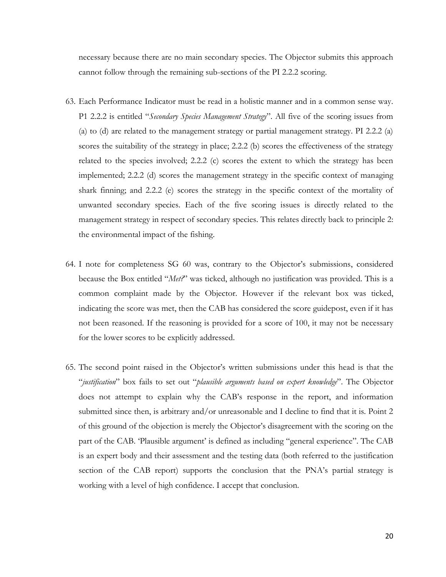necessary because there are no main secondary species. The Objector submits this approach cannot follow through the remaining sub-sections of the PI 2.2.2 scoring.

- 63. Each Performance Indicator must be read in a holistic manner and in a common sense way. P1 2.2.2 is entitled "*Secondary Species Management Strategy*". All five of the scoring issues from (a) to (d) are related to the management strategy or partial management strategy. PI 2.2.2 (a) scores the suitability of the strategy in place; 2.2.2 (b) scores the effectiveness of the strategy related to the species involved; 2.2.2 (c) scores the extent to which the strategy has been implemented; 2.2.2 (d) scores the management strategy in the specific context of managing shark finning; and 2.2.2 (e) scores the strategy in the specific context of the mortality of unwanted secondary species. Each of the five scoring issues is directly related to the management strategy in respect of secondary species. This relates directly back to principle 2: the environmental impact of the fishing.
- 64. I note for completeness SG 60 was, contrary to the Objector's submissions, considered because the Box entitled "*Met?*" was ticked, although no justification was provided. This is a common complaint made by the Objector. However if the relevant box was ticked, indicating the score was met, then the CAB has considered the score guidepost, even if it has not been reasoned. If the reasoning is provided for a score of 100, it may not be necessary for the lower scores to be explicitly addressed.
- 65. The second point raised in the Objector's written submissions under this head is that the "*justification*" box fails to set out "*plausible arguments based on expert knowledge*". The Objector does not attempt to explain why the CAB's response in the report, and information submitted since then, is arbitrary and/or unreasonable and I decline to find that it is. Point 2 of this ground of the objection is merely the Objector's disagreement with the scoring on the part of the CAB. 'Plausible argument' is defined as including "general experience". The CAB is an expert body and their assessment and the testing data (both referred to the justification section of the CAB report) supports the conclusion that the PNA's partial strategy is working with a level of high confidence. I accept that conclusion.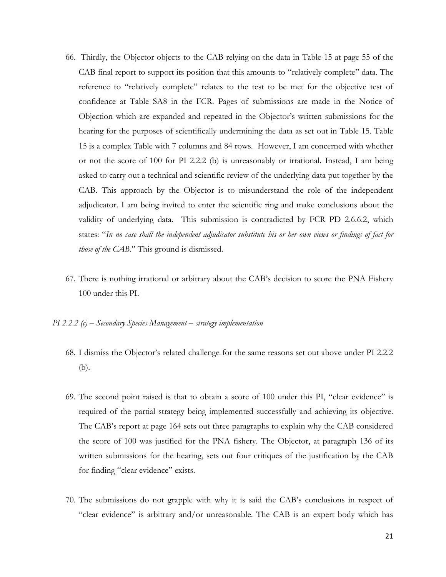- 66. Thirdly, the Objector objects to the CAB relying on the data in Table 15 at page 55 of the CAB final report to support its position that this amounts to "relatively complete" data. The reference to "relatively complete" relates to the test to be met for the objective test of confidence at Table SA8 in the FCR. Pages of submissions are made in the Notice of Objection which are expanded and repeated in the Objector's written submissions for the hearing for the purposes of scientifically undermining the data as set out in Table 15. Table 15 is a complex Table with 7 columns and 84 rows. However, I am concerned with whether or not the score of 100 for PI 2.2.2 (b) is unreasonably or irrational. Instead, I am being asked to carry out a technical and scientific review of the underlying data put together by the CAB. This approach by the Objector is to misunderstand the role of the independent adjudicator. I am being invited to enter the scientific ring and make conclusions about the validity of underlying data. This submission is contradicted by FCR PD 2.6.6.2, which states: "*In no case shall the independent adjudicator substitute his or her own views or findings of fact for those of the CAB.*" This ground is dismissed.
- 67. There is nothing irrational or arbitrary about the CAB's decision to score the PNA Fishery 100 under this PI.
- *PI 2.2.2 (c) – Secondary Species Management – strategy implementation*
	- 68. I dismiss the Objector's related challenge for the same reasons set out above under PI 2.2.2 (b).
	- 69. The second point raised is that to obtain a score of 100 under this PI, "clear evidence" is required of the partial strategy being implemented successfully and achieving its objective. The CAB's report at page 164 sets out three paragraphs to explain why the CAB considered the score of 100 was justified for the PNA fishery. The Objector, at paragraph 136 of its written submissions for the hearing, sets out four critiques of the justification by the CAB for finding "clear evidence" exists.
	- 70. The submissions do not grapple with why it is said the CAB's conclusions in respect of "clear evidence" is arbitrary and/or unreasonable. The CAB is an expert body which has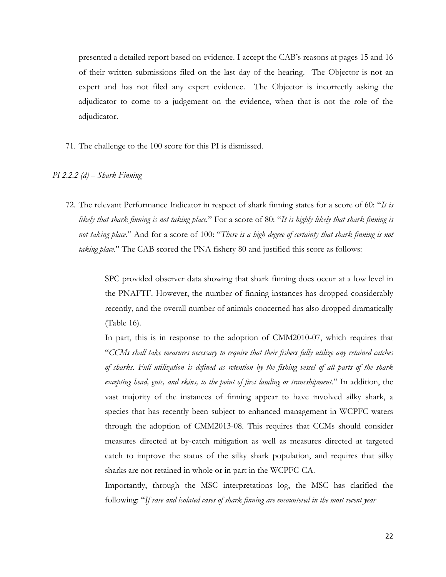presented a detailed report based on evidence. I accept the CAB's reasons at pages 15 and 16 of their written submissions filed on the last day of the hearing. The Objector is not an expert and has not filed any expert evidence. The Objector is incorrectly asking the adjudicator to come to a judgement on the evidence, when that is not the role of the adjudicator.

71. The challenge to the 100 score for this PI is dismissed.

#### *PI 2.2.2 (d) – Shark Finning*

72. The relevant Performance Indicator in respect of shark finning states for a score of 60: "*It is likely that shark finning is not taking place.*" For a score of 80: "*It is highly likely that shark finning is not taking place.*" And for a score of 100: "*There is a high degree of certainty that shark finning is not taking place.*" The CAB scored the PNA fishery 80 and justified this score as follows:

> SPC provided observer data showing that shark finning does occur at a low level in the PNAFTF. However, the number of finning instances has dropped considerably recently, and the overall number of animals concerned has also dropped dramatically (Table 16).

> In part, this is in response to the adoption of CMM2010-07, which requires that "*CCMs shall take measures necessary to require that their fishers fully utilize any retained catches of sharks. Full utilization is defined as retention by the fishing vessel of all parts of the shark excepting head, guts, and skins, to the point of first landing or transshipment.*" In addition, the vast majority of the instances of finning appear to have involved silky shark, a species that has recently been subject to enhanced management in WCPFC waters through the adoption of CMM2013-08. This requires that CCMs should consider measures directed at by-catch mitigation as well as measures directed at targeted catch to improve the status of the silky shark population, and requires that silky sharks are not retained in whole or in part in the WCPFC-CA.

> Importantly, through the MSC interpretations log, the MSC has clarified the following: "*If rare and isolated cases of shark finning are encountered in the most recent year*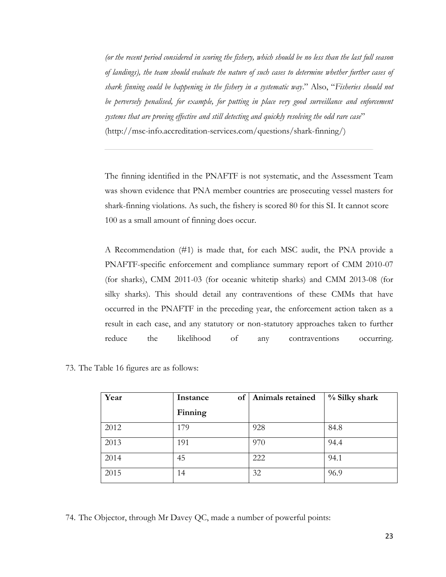*(or the recent period considered in scoring the fishery, which should be no less than the last full season of landings), the team should evaluate the nature of such cases to determine whether further cases of shark finning could be happening in the fishery in a systematic way*." Also, "*Fisheries should not be perversely penalised, for example, for putting in place very good surveillance and enforcement systems that are proving effective and still detecting and quickly resolving the odd rare case*" (http://msc-info.accreditation-services.com/questions/shark-finning/)

The finning identified in the PNAFTF is not systematic, and the Assessment Team was shown evidence that PNA member countries are prosecuting vessel masters for shark-finning violations. As such, the fishery is scored 80 for this SI. It cannot score 100 as a small amount of finning does occur.

A Recommendation (#1) is made that, for each MSC audit, the PNA provide a PNAFTF-specific enforcement and compliance summary report of CMM 2010-07 (for sharks), CMM 2011-03 (for oceanic whitetip sharks) and CMM 2013-08 (for silky sharks). This should detail any contraventions of these CMMs that have occurred in the PNAFTF in the preceding year, the enforcement action taken as a result in each case, and any statutory or non-statutory approaches taken to further reduce the likelihood of any contraventions occurring.

|  |  |  |  |  |  | 73. The Table 16 figures are as follows: |
|--|--|--|--|--|--|------------------------------------------|
|--|--|--|--|--|--|------------------------------------------|

| Year | of<br>Instance | Animals retained | % Silky shark |
|------|----------------|------------------|---------------|
|      | Finning        |                  |               |
| 2012 | 179            | 928              | 84.8          |
| 2013 | 191            | 970              | 94.4          |
| 2014 | 45             | 222              | 94.1          |
| 2015 | 14             | 32               | 96.9          |

74. The Objector, through Mr Davey QC, made a number of powerful points: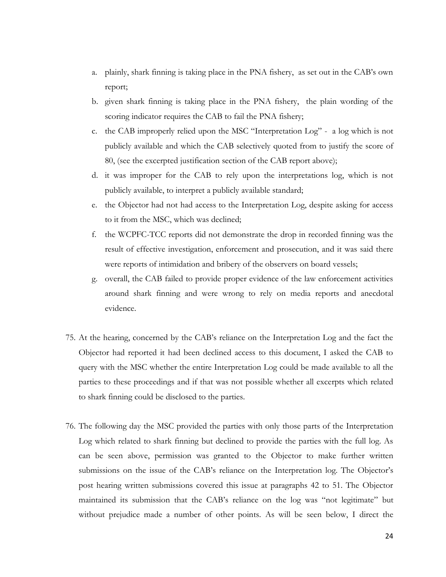- a. plainly, shark finning is taking place in the PNA fishery, as set out in the CAB's own report;
- b. given shark finning is taking place in the PNA fishery, the plain wording of the scoring indicator requires the CAB to fail the PNA fishery;
- c. the CAB improperly relied upon the MSC "Interpretation Log" a log which is not publicly available and which the CAB selectively quoted from to justify the score of 80, (see the excerpted justification section of the CAB report above);
- d. it was improper for the CAB to rely upon the interpretations log, which is not publicly available, to interpret a publicly available standard;
- e. the Objector had not had access to the Interpretation Log, despite asking for access to it from the MSC, which was declined;
- f. the WCPFC-TCC reports did not demonstrate the drop in recorded finning was the result of effective investigation, enforcement and prosecution, and it was said there were reports of intimidation and bribery of the observers on board vessels;
- g. overall, the CAB failed to provide proper evidence of the law enforcement activities around shark finning and were wrong to rely on media reports and anecdotal evidence.
- 75. At the hearing, concerned by the CAB's reliance on the Interpretation Log and the fact the Objector had reported it had been declined access to this document, I asked the CAB to query with the MSC whether the entire Interpretation Log could be made available to all the parties to these proceedings and if that was not possible whether all excerpts which related to shark finning could be disclosed to the parties.
- 76. The following day the MSC provided the parties with only those parts of the Interpretation Log which related to shark finning but declined to provide the parties with the full log. As can be seen above, permission was granted to the Objector to make further written submissions on the issue of the CAB's reliance on the Interpretation log. The Objector's post hearing written submissions covered this issue at paragraphs 42 to 51. The Objector maintained its submission that the CAB's reliance on the log was "not legitimate" but without prejudice made a number of other points. As will be seen below, I direct the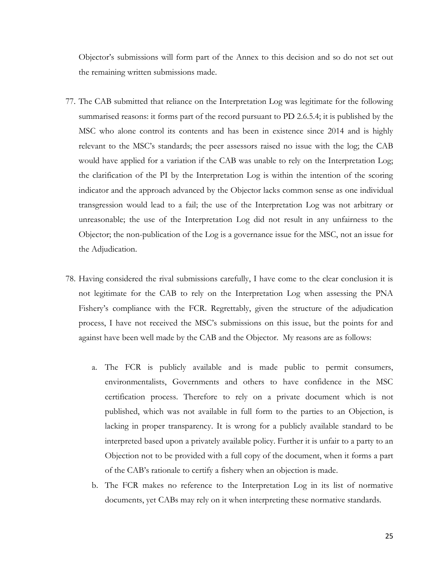Objector's submissions will form part of the Annex to this decision and so do not set out the remaining written submissions made.

- 77. The CAB submitted that reliance on the Interpretation Log was legitimate for the following summarised reasons: it forms part of the record pursuant to PD 2.6.5.4; it is published by the MSC who alone control its contents and has been in existence since 2014 and is highly relevant to the MSC's standards; the peer assessors raised no issue with the log; the CAB would have applied for a variation if the CAB was unable to rely on the Interpretation Log; the clarification of the PI by the Interpretation Log is within the intention of the scoring indicator and the approach advanced by the Objector lacks common sense as one individual transgression would lead to a fail; the use of the Interpretation Log was not arbitrary or unreasonable; the use of the Interpretation Log did not result in any unfairness to the Objector; the non-publication of the Log is a governance issue for the MSC, not an issue for the Adjudication.
- 78. Having considered the rival submissions carefully, I have come to the clear conclusion it is not legitimate for the CAB to rely on the Interpretation Log when assessing the PNA Fishery's compliance with the FCR. Regrettably, given the structure of the adjudication process, I have not received the MSC's submissions on this issue, but the points for and against have been well made by the CAB and the Objector. My reasons are as follows:
	- a. The FCR is publicly available and is made public to permit consumers, environmentalists, Governments and others to have confidence in the MSC certification process. Therefore to rely on a private document which is not published, which was not available in full form to the parties to an Objection, is lacking in proper transparency. It is wrong for a publicly available standard to be interpreted based upon a privately available policy. Further it is unfair to a party to an Objection not to be provided with a full copy of the document, when it forms a part of the CAB's rationale to certify a fishery when an objection is made.
	- b. The FCR makes no reference to the Interpretation Log in its list of normative documents, yet CABs may rely on it when interpreting these normative standards.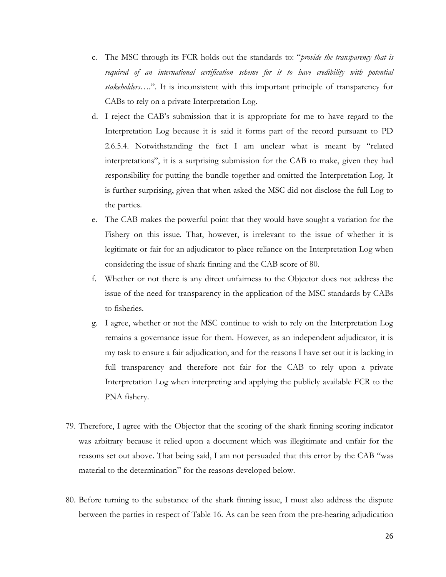- c. The MSC through its FCR holds out the standards to: "*provide the transparency that is required of an international certification scheme for it to have credibility with potential stakeholders….*". It is inconsistent with this important principle of transparency for CABs to rely on a private Interpretation Log.
- d. I reject the CAB's submission that it is appropriate for me to have regard to the Interpretation Log because it is said it forms part of the record pursuant to PD 2.6.5.4. Notwithstanding the fact I am unclear what is meant by "related interpretations", it is a surprising submission for the CAB to make, given they had responsibility for putting the bundle together and omitted the Interpretation Log. It is further surprising, given that when asked the MSC did not disclose the full Log to the parties.
- e. The CAB makes the powerful point that they would have sought a variation for the Fishery on this issue. That, however, is irrelevant to the issue of whether it is legitimate or fair for an adjudicator to place reliance on the Interpretation Log when considering the issue of shark finning and the CAB score of 80.
- f. Whether or not there is any direct unfairness to the Objector does not address the issue of the need for transparency in the application of the MSC standards by CABs to fisheries.
- g. I agree, whether or not the MSC continue to wish to rely on the Interpretation Log remains a governance issue for them. However, as an independent adjudicator, it is my task to ensure a fair adjudication, and for the reasons I have set out it is lacking in full transparency and therefore not fair for the CAB to rely upon a private Interpretation Log when interpreting and applying the publicly available FCR to the PNA fishery.
- 79. Therefore, I agree with the Objector that the scoring of the shark finning scoring indicator was arbitrary because it relied upon a document which was illegitimate and unfair for the reasons set out above. That being said, I am not persuaded that this error by the CAB "was material to the determination" for the reasons developed below.
- 80. Before turning to the substance of the shark finning issue, I must also address the dispute between the parties in respect of Table 16. As can be seen from the pre-hearing adjudication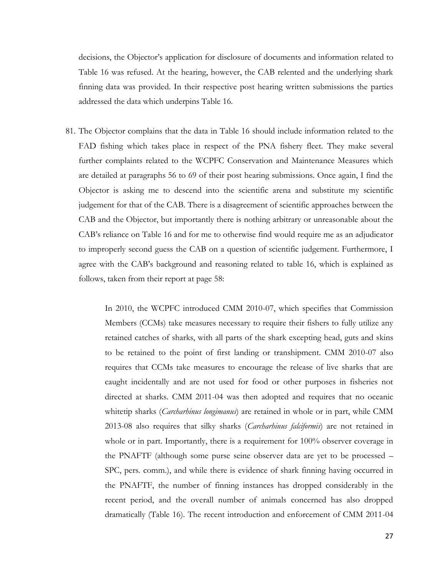decisions, the Objector's application for disclosure of documents and information related to Table 16 was refused. At the hearing, however, the CAB relented and the underlying shark finning data was provided. In their respective post hearing written submissions the parties addressed the data which underpins Table 16.

81. The Objector complains that the data in Table 16 should include information related to the FAD fishing which takes place in respect of the PNA fishery fleet. They make several further complaints related to the WCPFC Conservation and Maintenance Measures which are detailed at paragraphs 56 to 69 of their post hearing submissions. Once again, I find the Objector is asking me to descend into the scientific arena and substitute my scientific judgement for that of the CAB. There is a disagreement of scientific approaches between the CAB and the Objector, but importantly there is nothing arbitrary or unreasonable about the CAB's reliance on Table 16 and for me to otherwise find would require me as an adjudicator to improperly second guess the CAB on a question of scientific judgement. Furthermore, I agree with the CAB's background and reasoning related to table 16, which is explained as follows, taken from their report at page 58:

> In 2010, the WCPFC introduced CMM 2010-07, which specifies that Commission Members (CCMs) take measures necessary to require their fishers to fully utilize any retained catches of sharks, with all parts of the shark excepting head, guts and skins to be retained to the point of first landing or transhipment. CMM 2010-07 also requires that CCMs take measures to encourage the release of live sharks that are caught incidentally and are not used for food or other purposes in fisheries not directed at sharks. CMM 2011-04 was then adopted and requires that no oceanic whitetip sharks (*Carcharhinus longimanus*) are retained in whole or in part, while CMM 2013-08 also requires that silky sharks (*Carcharhinus falciformis*) are not retained in whole or in part. Importantly, there is a requirement for 100% observer coverage in the PNAFTF (although some purse seine observer data are yet to be processed – SPC, pers. comm.), and while there is evidence of shark finning having occurred in the PNAFTF, the number of finning instances has dropped considerably in the recent period, and the overall number of animals concerned has also dropped dramatically (Table 16). The recent introduction and enforcement of CMM 2011-04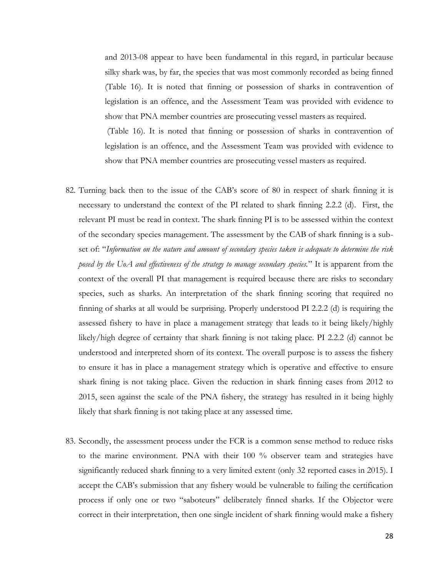and 2013-08 appear to have been fundamental in this regard, in particular because silky shark was, by far, the species that was most commonly recorded as being finned (Table 16). It is noted that finning or possession of sharks in contravention of legislation is an offence, and the Assessment Team was provided with evidence to show that PNA member countries are prosecuting vessel masters as required. (Table 16). It is noted that finning or possession of sharks in contravention of legislation is an offence, and the Assessment Team was provided with evidence to show that PNA member countries are prosecuting vessel masters as required.

- 82. Turning back then to the issue of the CAB's score of 80 in respect of shark finning it is necessary to understand the context of the PI related to shark finning 2.2.2 (d). First, the relevant PI must be read in context. The shark finning PI is to be assessed within the context of the secondary species management. The assessment by the CAB of shark finning is a subset of: "*Information on the nature and amount of secondary species taken is adequate to determine the risk posed by the UoA and effectiveness of the strategy to manage secondary species.*" It is apparent from the context of the overall PI that management is required because there are risks to secondary species, such as sharks. An interpretation of the shark finning scoring that required no finning of sharks at all would be surprising. Properly understood PI 2.2.2 (d) is requiring the assessed fishery to have in place a management strategy that leads to it being likely/highly likely/high degree of certainty that shark finning is not taking place. PI 2.2.2 (d) cannot be understood and interpreted shorn of its context. The overall purpose is to assess the fishery to ensure it has in place a management strategy which is operative and effective to ensure shark fining is not taking place. Given the reduction in shark finning cases from 2012 to 2015, seen against the scale of the PNA fishery, the strategy has resulted in it being highly likely that shark finning is not taking place at any assessed time.
- 83. Secondly, the assessment process under the FCR is a common sense method to reduce risks to the marine environment. PNA with their 100 % observer team and strategies have significantly reduced shark finning to a very limited extent (only 32 reported cases in 2015). I accept the CAB's submission that any fishery would be vulnerable to failing the certification process if only one or two "saboteurs" deliberately finned sharks. If the Objector were correct in their interpretation, then one single incident of shark finning would make a fishery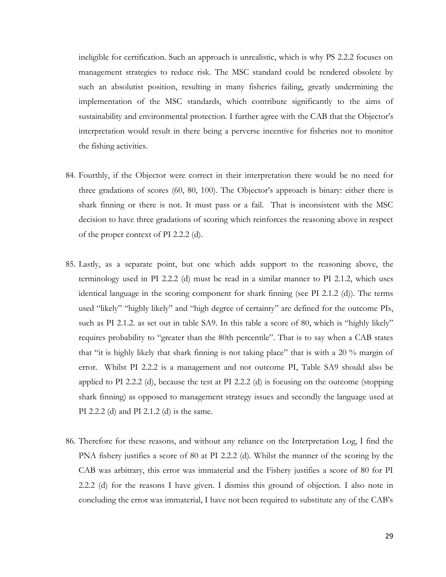ineligible for certification. Such an approach is unrealistic, which is why PS 2.2.2 focuses on management strategies to reduce risk. The MSC standard could be rendered obsolete by such an absolutist position, resulting in many fisheries failing, greatly undermining the implementation of the MSC standards, which contribute significantly to the aims of sustainability and environmental protection. I further agree with the CAB that the Objector's interpretation would result in there being a perverse incentive for fisheries not to monitor the fishing activities.

- 84. Fourthly, if the Objector were correct in their interpretation there would be no need for three gradations of scores (60, 80, 100). The Objector's approach is binary: either there is shark finning or there is not. It must pass or a fail. That is inconsistent with the MSC decision to have three gradations of scoring which reinforces the reasoning above in respect of the proper context of PI 2.2.2 (d).
- 85. Lastly, as a separate point, but one which adds support to the reasoning above, the terminology used in PI 2.2.2 (d) must be read in a similar manner to PI 2.1.2, which uses identical language in the scoring component for shark finning (see PI 2.1.2 (d)). The terms used "likely" "highly likely" and "high degree of certainty" are defined for the outcome PIs, such as PI 2.1.2. as set out in table SA9. In this table a score of 80, which is "highly likely" requires probability to "greater than the 80th percentile". That is to say when a CAB states that "it is highly likely that shark finning is not taking place" that is with a 20 % margin of error. Whilst PI 2.2.2 is a management and not outcome PI, Table SA9 should also be applied to PI 2.2.2 (d), because the test at PI 2.2.2 (d) is focusing on the outcome (stopping shark finning) as opposed to management strategy issues and secondly the language used at PI 2.2.2 (d) and PI 2.1.2 (d) is the same.
- 86. Therefore for these reasons, and without any reliance on the Interpretation Log, I find the PNA fishery justifies a score of 80 at PI 2.2.2 (d). Whilst the manner of the scoring by the CAB was arbitrary, this error was immaterial and the Fishery justifies a score of 80 for PI 2.2.2 (d) for the reasons I have given. I dismiss this ground of objection. I also note in concluding the error was immaterial, I have not been required to substitute any of the CAB's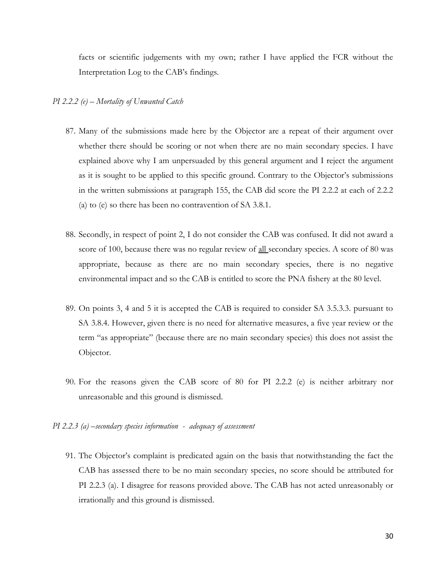facts or scientific judgements with my own; rather I have applied the FCR without the Interpretation Log to the CAB's findings.

#### *PI 2.2.2 (e) – Mortality of Unwanted Catch*

- 87. Many of the submissions made here by the Objector are a repeat of their argument over whether there should be scoring or not when there are no main secondary species. I have explained above why I am unpersuaded by this general argument and I reject the argument as it is sought to be applied to this specific ground. Contrary to the Objector's submissions in the written submissions at paragraph 155, the CAB did score the PI 2.2.2 at each of 2.2.2 (a) to (e) so there has been no contravention of SA 3.8.1.
- 88. Secondly, in respect of point 2, I do not consider the CAB was confused. It did not award a score of 100, because there was no regular review of <u>all</u> secondary species. A score of 80 was appropriate, because as there are no main secondary species, there is no negative environmental impact and so the CAB is entitled to score the PNA fishery at the 80 level.
- 89. On points 3, 4 and 5 it is accepted the CAB is required to consider SA 3.5.3.3. pursuant to SA 3.8.4. However, given there is no need for alternative measures, a five year review or the term "as appropriate" (because there are no main secondary species) this does not assist the Objector.
- 90. For the reasons given the CAB score of 80 for PI 2.2.2 (e) is neither arbitrary nor unreasonable and this ground is dismissed.
- *PI 2.2.3 (a) –secondary species information adequacy of assessment*
	- 91. The Objector's complaint is predicated again on the basis that notwithstanding the fact the CAB has assessed there to be no main secondary species, no score should be attributed for PI 2.2.3 (a). I disagree for reasons provided above. The CAB has not acted unreasonably or irrationally and this ground is dismissed.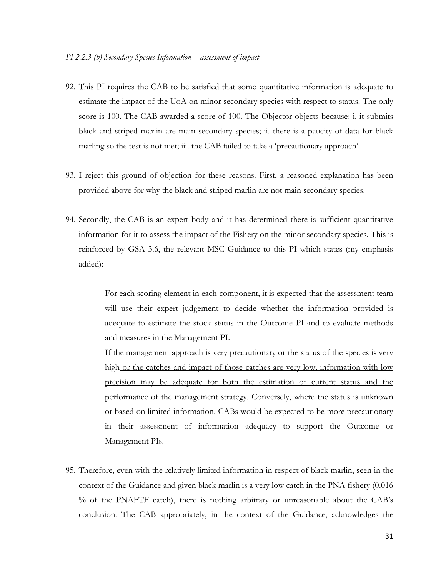- 92. This PI requires the CAB to be satisfied that some quantitative information is adequate to estimate the impact of the UoA on minor secondary species with respect to status. The only score is 100. The CAB awarded a score of 100. The Objector objects because: i. it submits black and striped marlin are main secondary species; ii. there is a paucity of data for black marling so the test is not met; iii. the CAB failed to take a 'precautionary approach'.
- 93. I reject this ground of objection for these reasons. First, a reasoned explanation has been provided above for why the black and striped marlin are not main secondary species.
- 94. Secondly, the CAB is an expert body and it has determined there is sufficient quantitative information for it to assess the impact of the Fishery on the minor secondary species. This is reinforced by GSA 3.6, the relevant MSC Guidance to this PI which states (my emphasis added):

For each scoring element in each component, it is expected that the assessment team will use their expert judgement to decide whether the information provided is adequate to estimate the stock status in the Outcome PI and to evaluate methods and measures in the Management PI.

If the management approach is very precautionary or the status of the species is very high or the catches and impact of those catches are very low, information with low precision may be adequate for both the estimation of current status and the performance of the management strategy. Conversely, where the status is unknown or based on limited information, CABs would be expected to be more precautionary in their assessment of information adequacy to support the Outcome or Management PIs.

95. Therefore, even with the relatively limited information in respect of black marlin, seen in the context of the Guidance and given black marlin is a very low catch in the PNA fishery (0.016 % of the PNAFTF catch), there is nothing arbitrary or unreasonable about the CAB's conclusion. The CAB appropriately, in the context of the Guidance, acknowledges the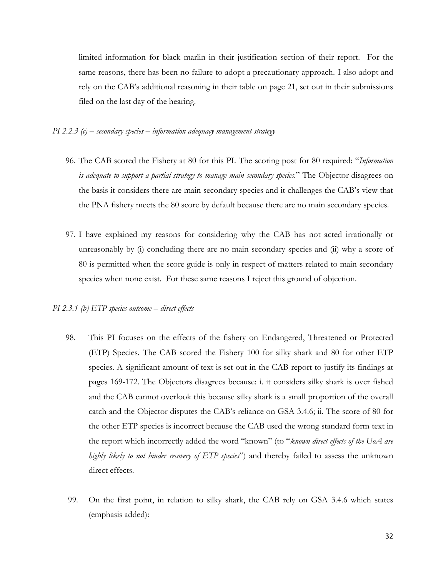limited information for black marlin in their justification section of their report. For the same reasons, there has been no failure to adopt a precautionary approach. I also adopt and rely on the CAB's additional reasoning in their table on page 21, set out in their submissions filed on the last day of the hearing.

#### *PI 2.2.3 (c) – secondary species – information adequacy management strategy*

- 96. The CAB scored the Fishery at 80 for this PI. The scoring post for 80 required: "*Information is adequate to support a partial strategy to manage main secondary species.*" The Objector disagrees on the basis it considers there are main secondary species and it challenges the CAB's view that the PNA fishery meets the 80 score by default because there are no main secondary species.
- 97. I have explained my reasons for considering why the CAB has not acted irrationally or unreasonably by (i) concluding there are no main secondary species and (ii) why a score of 80 is permitted when the score guide is only in respect of matters related to main secondary species when none exist. For these same reasons I reject this ground of objection.

# *PI 2.3.1 (b) ETP species outcome – direct effects*

- 98. This PI focuses on the effects of the fishery on Endangered, Threatened or Protected (ETP) Species. The CAB scored the Fishery 100 for silky shark and 80 for other ETP species. A significant amount of text is set out in the CAB report to justify its findings at pages 169-172. The Objectors disagrees because: i. it considers silky shark is over fished and the CAB cannot overlook this because silky shark is a small proportion of the overall catch and the Objector disputes the CAB's reliance on GSA 3.4.6; ii. The score of 80 for the other ETP species is incorrect because the CAB used the wrong standard form text in the report which incorrectly added the word "known" (to "*known direct effects of the UoA are highly likely to not hinder recovery of ETP species*") and thereby failed to assess the unknown direct effects.
- 99. On the first point, in relation to silky shark, the CAB rely on GSA 3.4.6 which states (emphasis added):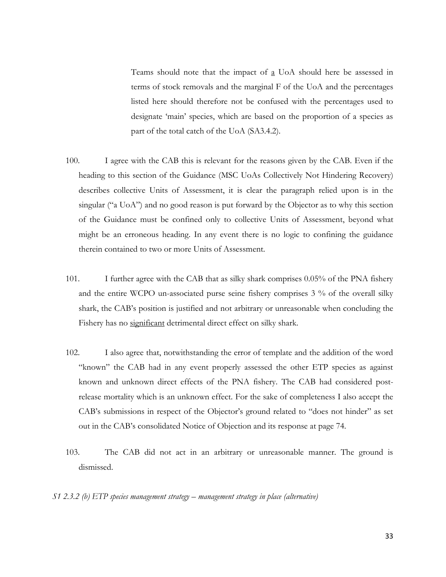Teams should note that the impact of  $\underline{a}$  UoA should here be assessed in terms of stock removals and the marginal F of the UoA and the percentages listed here should therefore not be confused with the percentages used to designate 'main' species, which are based on the proportion of a species as part of the total catch of the UoA (SA3.4.2).

- 100. I agree with the CAB this is relevant for the reasons given by the CAB. Even if the heading to this section of the Guidance (MSC UoAs Collectively Not Hindering Recovery) describes collective Units of Assessment, it is clear the paragraph relied upon is in the singular ("a UoA") and no good reason is put forward by the Objector as to why this section of the Guidance must be confined only to collective Units of Assessment, beyond what might be an erroneous heading. In any event there is no logic to confining the guidance therein contained to two or more Units of Assessment.
- 101. I further agree with the CAB that as silky shark comprises 0.05% of the PNA fishery and the entire WCPO un-associated purse seine fishery comprises 3 % of the overall silky shark, the CAB's position is justified and not arbitrary or unreasonable when concluding the Fishery has no significant detrimental direct effect on silky shark.
- 102. I also agree that, notwithstanding the error of template and the addition of the word "known" the CAB had in any event properly assessed the other ETP species as against known and unknown direct effects of the PNA fishery. The CAB had considered postrelease mortality which is an unknown effect. For the sake of completeness I also accept the CAB's submissions in respect of the Objector's ground related to "does not hinder" as set out in the CAB's consolidated Notice of Objection and its response at page 74.
- 103. The CAB did not act in an arbitrary or unreasonable manner. The ground is dismissed.

*S1 2.3.2 (b) ETP species management strategy – management strategy in place (alternative)*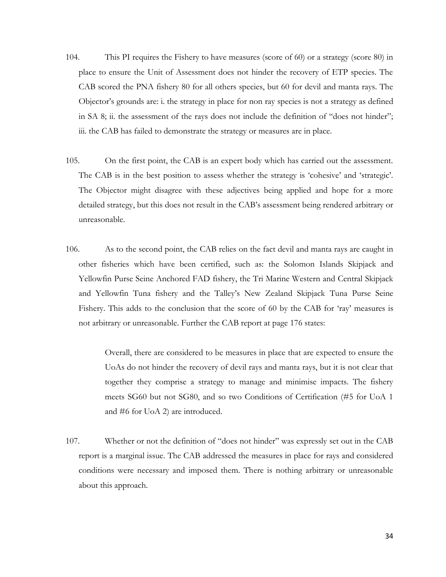- 104. This PI requires the Fishery to have measures (score of 60) or a strategy (score 80) in place to ensure the Unit of Assessment does not hinder the recovery of ETP species. The CAB scored the PNA fishery 80 for all others species, but 60 for devil and manta rays. The Objector's grounds are: i. the strategy in place for non ray species is not a strategy as defined in SA 8; ii. the assessment of the rays does not include the definition of "does not hinder"; iii. the CAB has failed to demonstrate the strategy or measures are in place.
- 105. On the first point, the CAB is an expert body which has carried out the assessment. The CAB is in the best position to assess whether the strategy is 'cohesive' and 'strategic'. The Objector might disagree with these adjectives being applied and hope for a more detailed strategy, but this does not result in the CAB's assessment being rendered arbitrary or unreasonable.
- 106. As to the second point, the CAB relies on the fact devil and manta rays are caught in other fisheries which have been certified, such as: the Solomon Islands Skipjack and Yellowfin Purse Seine Anchored FAD fishery, the Tri Marine Western and Central Skipjack and Yellowfin Tuna fishery and the Talley's New Zealand Skipjack Tuna Purse Seine Fishery. This adds to the conclusion that the score of 60 by the CAB for 'ray' measures is not arbitrary or unreasonable. Further the CAB report at page 176 states:

Overall, there are considered to be measures in place that are expected to ensure the UoAs do not hinder the recovery of devil rays and manta rays, but it is not clear that together they comprise a strategy to manage and minimise impacts. The fishery meets SG60 but not SG80, and so two Conditions of Certification (#5 for UoA 1 and #6 for UoA 2) are introduced.

107. Whether or not the definition of "does not hinder" was expressly set out in the CAB report is a marginal issue. The CAB addressed the measures in place for rays and considered conditions were necessary and imposed them. There is nothing arbitrary or unreasonable about this approach.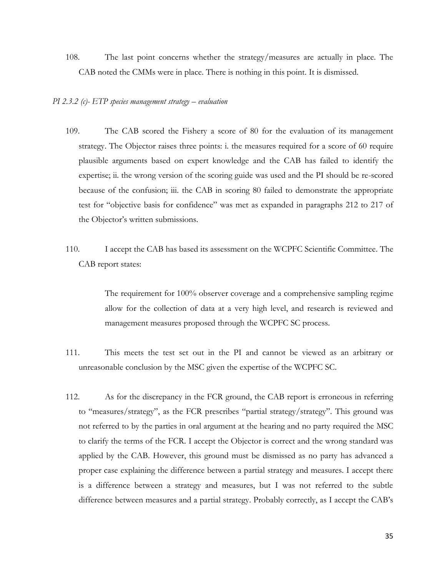108. The last point concerns whether the strategy/measures are actually in place. The CAB noted the CMMs were in place. There is nothing in this point. It is dismissed.

#### *PI 2.3.2 (c)- ETP species management strategy – evaluation*

- 109. The CAB scored the Fishery a score of 80 for the evaluation of its management strategy. The Objector raises three points: i. the measures required for a score of 60 require plausible arguments based on expert knowledge and the CAB has failed to identify the expertise; ii. the wrong version of the scoring guide was used and the PI should be re-scored because of the confusion; iii. the CAB in scoring 80 failed to demonstrate the appropriate test for "objective basis for confidence" was met as expanded in paragraphs 212 to 217 of the Objector's written submissions.
- 110. I accept the CAB has based its assessment on the WCPFC Scientific Committee. The CAB report states:

The requirement for 100% observer coverage and a comprehensive sampling regime allow for the collection of data at a very high level, and research is reviewed and management measures proposed through the WCPFC SC process.

- 111. This meets the test set out in the PI and cannot be viewed as an arbitrary or unreasonable conclusion by the MSC given the expertise of the WCPFC SC.
- 112. As for the discrepancy in the FCR ground, the CAB report is erroneous in referring to "measures/strategy", as the FCR prescribes "partial strategy/strategy". This ground was not referred to by the parties in oral argument at the hearing and no party required the MSC to clarify the terms of the FCR. I accept the Objector is correct and the wrong standard was applied by the CAB. However, this ground must be dismissed as no party has advanced a proper case explaining the difference between a partial strategy and measures. I accept there is a difference between a strategy and measures, but I was not referred to the subtle difference between measures and a partial strategy. Probably correctly, as I accept the CAB's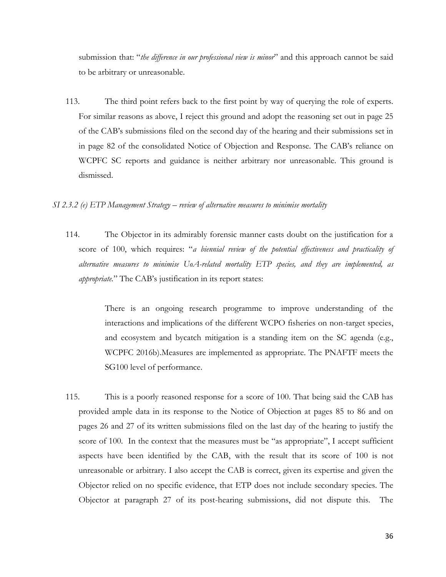submission that: "*the difference in our professional view is minor*" and this approach cannot be said to be arbitrary or unreasonable.

113. The third point refers back to the first point by way of querying the role of experts. For similar reasons as above, I reject this ground and adopt the reasoning set out in page 25 of the CAB's submissions filed on the second day of the hearing and their submissions set in in page 82 of the consolidated Notice of Objection and Response. The CAB's reliance on WCPFC SC reports and guidance is neither arbitrary nor unreasonable. This ground is dismissed.

# *SI 2.3.2 (e) ETP Management Strategy – review of alternative measures to minimise mortality*

114. The Objector in its admirably forensic manner casts doubt on the justification for a score of 100, which requires: "*a biennial review of the potential effectiveness and practicality of alternative measures to minimise UoA-related mortality ETP species, and they are implemented, as appropriate.*" The CAB's justification in its report states:

> There is an ongoing research programme to improve understanding of the interactions and implications of the different WCPO fisheries on non-target species, and ecosystem and bycatch mitigation is a standing item on the SC agenda (e.g., WCPFC 2016b).Measures are implemented as appropriate. The PNAFTF meets the SG100 level of performance.

115. This is a poorly reasoned response for a score of 100. That being said the CAB has provided ample data in its response to the Notice of Objection at pages 85 to 86 and on pages 26 and 27 of its written submissions filed on the last day of the hearing to justify the score of 100. In the context that the measures must be "as appropriate", I accept sufficient aspects have been identified by the CAB, with the result that its score of 100 is not unreasonable or arbitrary. I also accept the CAB is correct, given its expertise and given the Objector relied on no specific evidence, that ETP does not include secondary species. The Objector at paragraph 27 of its post-hearing submissions, did not dispute this. The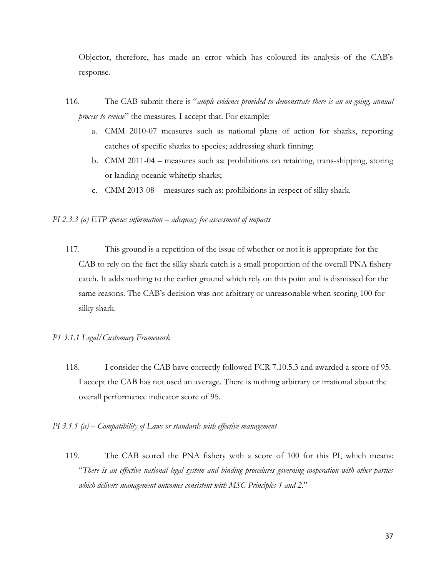Objector, therefore, has made an error which has coloured its analysis of the CAB's response.

- 116. The CAB submit there is "*ample evidence provided to demonstrate there is an on-going, annual process to review*" the measures. I accept that. For example:
	- a. CMM 2010-07 measures such as national plans of action for sharks, reporting catches of specific sharks to species; addressing shark finning;
	- b. CMM 2011-04 measures such as: prohibitions on retaining, trans-shipping, storing or landing oceanic whitetip sharks;
	- c. CMM 2013-08 measures such as: prohibitions in respect of silky shark.

## *PI 2.3.3 (a) ETP species information – adequacy for assessment of impacts*

117. This ground is a repetition of the issue of whether or not it is appropriate for the CAB to rely on the fact the silky shark catch is a small proportion of the overall PNA fishery catch. It adds nothing to the earlier ground which rely on this point and is dismissed for the same reasons. The CAB's decision was not arbitrary or unreasonable when scoring 100 for silky shark.

# *P1 3.1.1 Legal/Customary Framework*

- 118. I consider the CAB have correctly followed FCR 7.10.5.3 and awarded a score of 95. I accept the CAB has not used an average. There is nothing arbitrary or irrational about the overall performance indicator score of 95.
- *PI 3.1.1 (a) – Compatibility of Laws or standards with effective management*
	- 119. The CAB scored the PNA fishery with a score of 100 for this PI, which means: "*There is an effective national legal system and binding procedures governing cooperation with other parties which delivers management outcomes consistent with MSC Principles 1 and 2*."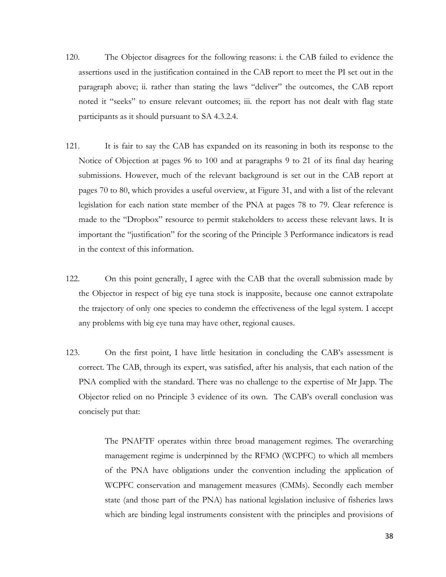- 120. The Objector disagrees for the following reasons: i. the CAB failed to evidence the assertions used in the justification contained in the CAB report to meet the PI set out in the paragraph above; ii. rather than stating the laws "deliver" the outcomes, the CAB report noted it "seeks" to ensure relevant outcomes; iii. the report has not dealt with flag state participants as it should pursuant to SA 4.3.2.4.
- 121. It is fair to say the CAB has expanded on its reasoning in both its response to the Notice of Objection at pages 96 to 100 and at paragraphs 9 to 21 of its final day hearing submissions. However, much of the relevant background is set out in the CAB report at pages 70 to 80, which provides a useful overview, at Figure 31, and with a list of the relevant legislation for each nation state member of the PNA at pages 78 to 79. Clear reference is made to the "Dropbox" resource to permit stakeholders to access these relevant laws. It is important the "justification" for the scoring of the Principle 3 Performance indicators is read in the context of this information.
- 122. On this point generally, I agree with the CAB that the overall submission made by the Objector in respect of big eye tuna stock is inapposite, because one cannot extrapolate the trajectory of only one species to condemn the effectiveness of the legal system. I accept any problems with big eye tuna may have other, regional causes.
- 123. On the first point, I have little hesitation in concluding the CAB's assessment is correct. The CAB, through its expert, was satisfied, after his analysis, that each nation of the PNA complied with the standard. There was no challenge to the expertise of Mr Japp. The Objector relied on no Principle 3 evidence of its own. The CAB's overall conclusion was concisely put that:

The PNAFTF operates within three broad management regimes. The overarching management regime is underpinned by the RFMO (WCPFC) to which all members of the PNA have obligations under the convention including the application of WCPFC conservation and management measures (CMMs). Secondly each member state (and those part of the PNA) has national legislation inclusive of fisheries laws which are binding legal instruments consistent with the principles and provisions of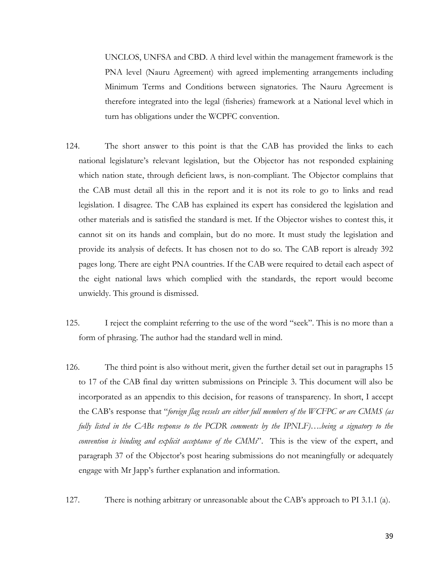UNCLOS, UNFSA and CBD. A third level within the management framework is the PNA level (Nauru Agreement) with agreed implementing arrangements including Minimum Terms and Conditions between signatories. The Nauru Agreement is therefore integrated into the legal (fisheries) framework at a National level which in turn has obligations under the WCPFC convention.

- 124. The short answer to this point is that the CAB has provided the links to each national legislature's relevant legislation, but the Objector has not responded explaining which nation state, through deficient laws, is non-compliant. The Objector complains that the CAB must detail all this in the report and it is not its role to go to links and read legislation. I disagree. The CAB has explained its expert has considered the legislation and other materials and is satisfied the standard is met. If the Objector wishes to contest this, it cannot sit on its hands and complain, but do no more. It must study the legislation and provide its analysis of defects. It has chosen not to do so. The CAB report is already 392 pages long. There are eight PNA countries. If the CAB were required to detail each aspect of the eight national laws which complied with the standards, the report would become unwieldy. This ground is dismissed.
- 125. I reject the complaint referring to the use of the word "seek". This is no more than a form of phrasing. The author had the standard well in mind.
- 126. The third point is also without merit, given the further detail set out in paragraphs 15 to 17 of the CAB final day written submissions on Principle 3. This document will also be incorporated as an appendix to this decision, for reasons of transparency. In short, I accept the CAB's response that "*foreign flag vessels are either full members of the WCFPC or are CMMS (as fully listed in the CABs response to the PCDR comments by the IPNLF)….being a signatory to the convention is binding and explicit acceptance of the CMMs*". This is the view of the expert, and paragraph 37 of the Objector's post hearing submissions do not meaningfully or adequately engage with Mr Japp's further explanation and information.
- 127. There is nothing arbitrary or unreasonable about the CAB's approach to PI 3.1.1 (a).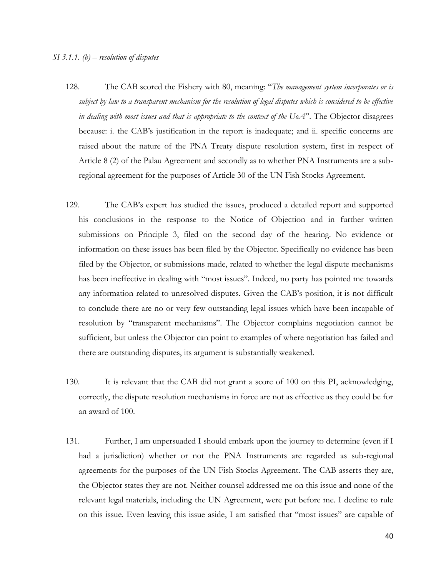- 128. The CAB scored the Fishery with 80, meaning: "*The management system incorporates or is subject by law to a transparent mechanism for the resolution of legal disputes which is considered to be effective in dealing with most issues and that is appropriate to the context of the UoA*". The Objector disagrees because: i. the CAB's justification in the report is inadequate; and ii. specific concerns are raised about the nature of the PNA Treaty dispute resolution system, first in respect of Article 8 (2) of the Palau Agreement and secondly as to whether PNA Instruments are a subregional agreement for the purposes of Article 30 of the UN Fish Stocks Agreement.
- 129. The CAB's expert has studied the issues, produced a detailed report and supported his conclusions in the response to the Notice of Objection and in further written submissions on Principle 3, filed on the second day of the hearing. No evidence or information on these issues has been filed by the Objector. Specifically no evidence has been filed by the Objector, or submissions made, related to whether the legal dispute mechanisms has been ineffective in dealing with "most issues". Indeed, no party has pointed me towards any information related to unresolved disputes. Given the CAB's position, it is not difficult to conclude there are no or very few outstanding legal issues which have been incapable of resolution by "transparent mechanisms". The Objector complains negotiation cannot be sufficient, but unless the Objector can point to examples of where negotiation has failed and there are outstanding disputes, its argument is substantially weakened.
- 130. It is relevant that the CAB did not grant a score of 100 on this PI, acknowledging, correctly, the dispute resolution mechanisms in force are not as effective as they could be for an award of 100.
- 131. Further, I am unpersuaded I should embark upon the journey to determine (even if I had a jurisdiction) whether or not the PNA Instruments are regarded as sub-regional agreements for the purposes of the UN Fish Stocks Agreement. The CAB asserts they are, the Objector states they are not. Neither counsel addressed me on this issue and none of the relevant legal materials, including the UN Agreement, were put before me. I decline to rule on this issue. Even leaving this issue aside, I am satisfied that "most issues" are capable of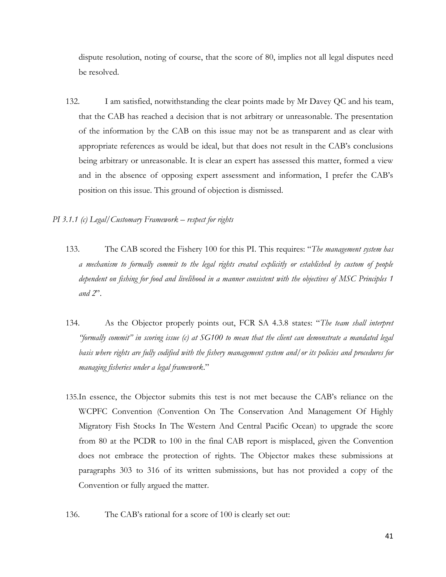dispute resolution, noting of course, that the score of 80, implies not all legal disputes need be resolved.

132. I am satisfied, notwithstanding the clear points made by Mr Davey QC and his team, that the CAB has reached a decision that is not arbitrary or unreasonable. The presentation of the information by the CAB on this issue may not be as transparent and as clear with appropriate references as would be ideal, but that does not result in the CAB's conclusions being arbitrary or unreasonable. It is clear an expert has assessed this matter, formed a view and in the absence of opposing expert assessment and information, I prefer the CAB's position on this issue. This ground of objection is dismissed.

# *PI 3.1.1 (c) Legal/Customary Framework – respect for rights*

- 133. The CAB scored the Fishery 100 for this PI. This requires: "*The management system has a mechanism to formally commit to the legal rights created explicitly or established by custom of people dependent on fishing for food and livelihood in a manner consistent with the objectives of MSC Principles 1 and 2*".
- 134. As the Objector properly points out, FCR SA 4.3.8 states: "*The team shall interpret "formally commit" in scoring issue (c) at SG100 to mean that the client can demonstrate a mandated legal basis where rights are fully codified with the fishery management system and/or its policies and procedures for managing fisheries under a legal framework*."
- 135.In essence, the Objector submits this test is not met because the CAB's reliance on the WCPFC Convention (Convention On The Conservation And Management Of Highly Migratory Fish Stocks In The Western And Central Pacific Ocean) to upgrade the score from 80 at the PCDR to 100 in the final CAB report is misplaced, given the Convention does not embrace the protection of rights. The Objector makes these submissions at paragraphs 303 to 316 of its written submissions, but has not provided a copy of the Convention or fully argued the matter.
- 136. The CAB's rational for a score of 100 is clearly set out: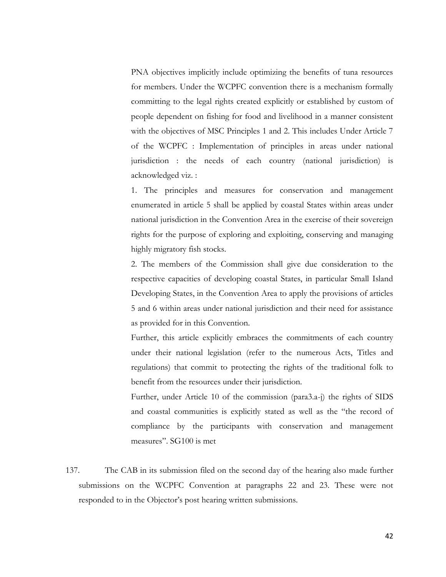PNA objectives implicitly include optimizing the benefits of tuna resources for members. Under the WCPFC convention there is a mechanism formally committing to the legal rights created explicitly or established by custom of people dependent on fishing for food and livelihood in a manner consistent with the objectives of MSC Principles 1 and 2. This includes Under Article 7 of the WCPFC : Implementation of principles in areas under national jurisdiction : the needs of each country (national jurisdiction) is acknowledged viz. :

1. The principles and measures for conservation and management enumerated in article 5 shall be applied by coastal States within areas under national jurisdiction in the Convention Area in the exercise of their sovereign rights for the purpose of exploring and exploiting, conserving and managing highly migratory fish stocks.

2. The members of the Commission shall give due consideration to the respective capacities of developing coastal States, in particular Small Island Developing States, in the Convention Area to apply the provisions of articles 5 and 6 within areas under national jurisdiction and their need for assistance as provided for in this Convention.

Further, this article explicitly embraces the commitments of each country under their national legislation (refer to the numerous Acts, Titles and regulations) that commit to protecting the rights of the traditional folk to benefit from the resources under their jurisdiction.

Further, under Article 10 of the commission (para3.a-j) the rights of SIDS and coastal communities is explicitly stated as well as the "the record of compliance by the participants with conservation and management measures". SG100 is met

137. The CAB in its submission filed on the second day of the hearing also made further submissions on the WCPFC Convention at paragraphs 22 and 23. These were not responded to in the Objector's post hearing written submissions.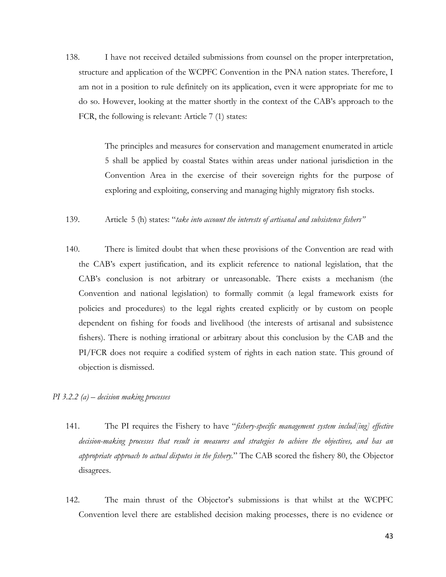138. I have not received detailed submissions from counsel on the proper interpretation, structure and application of the WCPFC Convention in the PNA nation states. Therefore, I am not in a position to rule definitely on its application, even it were appropriate for me to do so. However, looking at the matter shortly in the context of the CAB's approach to the FCR, the following is relevant: Article 7 (1) states:

> The principles and measures for conservation and management enumerated in article 5 shall be applied by coastal States within areas under national jurisdiction in the Convention Area in the exercise of their sovereign rights for the purpose of exploring and exploiting, conserving and managing highly migratory fish stocks.

- 139. Article 5 (h) states: "*take into account the interests of artisanal and subsistence fishers"*
- 140. There is limited doubt that when these provisions of the Convention are read with the CAB's expert justification, and its explicit reference to national legislation, that the CAB's conclusion is not arbitrary or unreasonable. There exists a mechanism (the Convention and national legislation) to formally commit (a legal framework exists for policies and procedures) to the legal rights created explicitly or by custom on people dependent on fishing for foods and livelihood (the interests of artisanal and subsistence fishers). There is nothing irrational or arbitrary about this conclusion by the CAB and the PI/FCR does not require a codified system of rights in each nation state. This ground of objection is dismissed.
- *PI 3.2.2 (a) – decision making processes* 
	- 141. The PI requires the Fishery to have "*fishery-specific management system includ[ing] effective decision-making processes that result in measures and strategies to achieve the objectives, and has an appropriate approach to actual disputes in the fishery.*" The CAB scored the fishery 80, the Objector disagrees.
	- 142. The main thrust of the Objector's submissions is that whilst at the WCPFC Convention level there are established decision making processes, there is no evidence or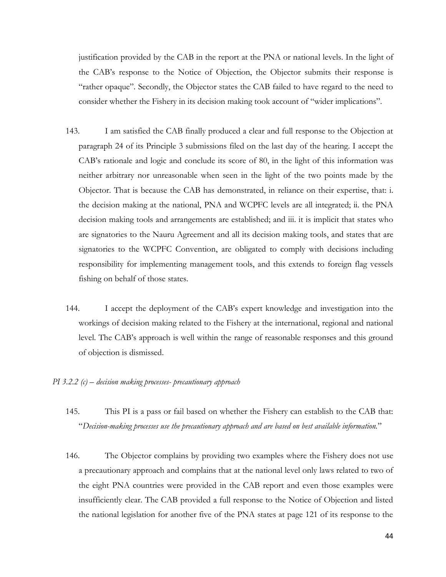justification provided by the CAB in the report at the PNA or national levels. In the light of the CAB's response to the Notice of Objection, the Objector submits their response is "rather opaque". Secondly, the Objector states the CAB failed to have regard to the need to consider whether the Fishery in its decision making took account of "wider implications".

- 143. I am satisfied the CAB finally produced a clear and full response to the Objection at paragraph 24 of its Principle 3 submissions filed on the last day of the hearing. I accept the CAB's rationale and logic and conclude its score of 80, in the light of this information was neither arbitrary nor unreasonable when seen in the light of the two points made by the Objector. That is because the CAB has demonstrated, in reliance on their expertise, that: i. the decision making at the national, PNA and WCPFC levels are all integrated; ii. the PNA decision making tools and arrangements are established; and iii. it is implicit that states who are signatories to the Nauru Agreement and all its decision making tools, and states that are signatories to the WCPFC Convention, are obligated to comply with decisions including responsibility for implementing management tools, and this extends to foreign flag vessels fishing on behalf of those states.
- 144. I accept the deployment of the CAB's expert knowledge and investigation into the workings of decision making related to the Fishery at the international, regional and national level. The CAB's approach is well within the range of reasonable responses and this ground of objection is dismissed.
- *PI 3.2.2 (c) – decision making processes- precautionary approach*
	- 145. This PI is a pass or fail based on whether the Fishery can establish to the CAB that: "*Decision-making processes use the precautionary approach and are based on best available information.*"
	- 146. The Objector complains by providing two examples where the Fishery does not use a precautionary approach and complains that at the national level only laws related to two of the eight PNA countries were provided in the CAB report and even those examples were insufficiently clear. The CAB provided a full response to the Notice of Objection and listed the national legislation for another five of the PNA states at page 121 of its response to the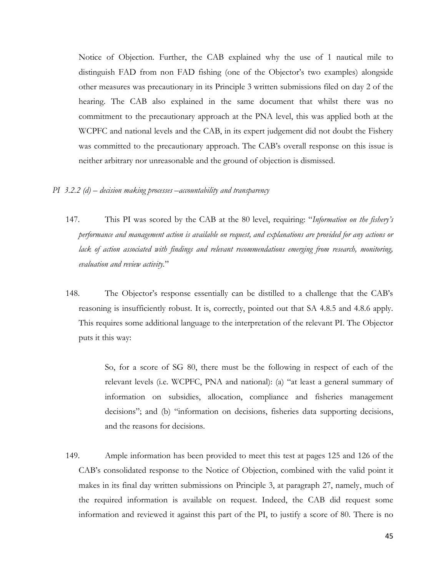Notice of Objection. Further, the CAB explained why the use of 1 nautical mile to distinguish FAD from non FAD fishing (one of the Objector's two examples) alongside other measures was precautionary in its Principle 3 written submissions filed on day 2 of the hearing. The CAB also explained in the same document that whilst there was no commitment to the precautionary approach at the PNA level, this was applied both at the WCPFC and national levels and the CAB, in its expert judgement did not doubt the Fishery was committed to the precautionary approach. The CAB's overall response on this issue is neither arbitrary nor unreasonable and the ground of objection is dismissed.

#### *PI 3.2.2 (d) – decision making processes –accountability and transparency*

- 147. This PI was scored by the CAB at the 80 level, requiring: "*Information on the fishery's performance and management action is available on request, and explanations are provided for any actions or lack of action associated with findings and relevant recommendations emerging from research, monitoring, evaluation and review activity.*"
- 148. The Objector's response essentially can be distilled to a challenge that the CAB's reasoning is insufficiently robust. It is, correctly, pointed out that SA 4.8.5 and 4.8.6 apply. This requires some additional language to the interpretation of the relevant PI. The Objector puts it this way:

So, for a score of SG 80, there must be the following in respect of each of the relevant levels (i.e. WCPFC, PNA and national): (a) "at least a general summary of information on subsidies, allocation, compliance and fisheries management decisions"; and (b) "information on decisions, fisheries data supporting decisions, and the reasons for decisions.

149. Ample information has been provided to meet this test at pages 125 and 126 of the CAB's consolidated response to the Notice of Objection, combined with the valid point it makes in its final day written submissions on Principle 3, at paragraph 27, namely, much of the required information is available on request. Indeed, the CAB did request some information and reviewed it against this part of the PI, to justify a score of 80. There is no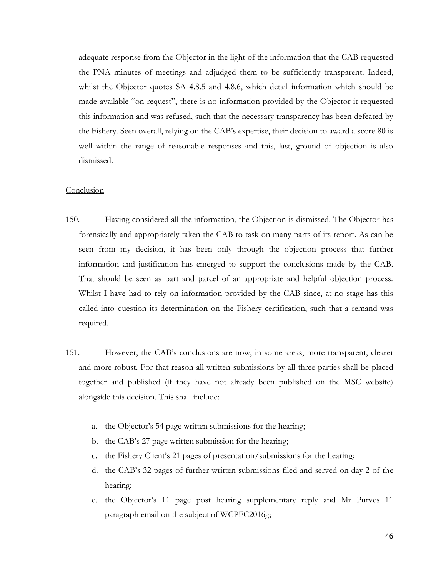adequate response from the Objector in the light of the information that the CAB requested the PNA minutes of meetings and adjudged them to be sufficiently transparent. Indeed, whilst the Objector quotes SA 4.8.5 and 4.8.6, which detail information which should be made available "on request", there is no information provided by the Objector it requested this information and was refused, such that the necessary transparency has been defeated by the Fishery. Seen overall, relying on the CAB's expertise, their decision to award a score 80 is well within the range of reasonable responses and this, last, ground of objection is also dismissed.

# Conclusion

- 150. Having considered all the information, the Objection is dismissed. The Objector has forensically and appropriately taken the CAB to task on many parts of its report. As can be seen from my decision, it has been only through the objection process that further information and justification has emerged to support the conclusions made by the CAB. That should be seen as part and parcel of an appropriate and helpful objection process. Whilst I have had to rely on information provided by the CAB since, at no stage has this called into question its determination on the Fishery certification, such that a remand was required.
- 151. However, the CAB's conclusions are now, in some areas, more transparent, clearer and more robust. For that reason all written submissions by all three parties shall be placed together and published (if they have not already been published on the MSC website) alongside this decision. This shall include:
	- a. the Objector's 54 page written submissions for the hearing;
	- b. the CAB's 27 page written submission for the hearing;
	- c. the Fishery Client's 21 pages of presentation/submissions for the hearing;
	- d. the CAB's 32 pages of further written submissions filed and served on day 2 of the hearing;
	- e. the Objector's 11 page post hearing supplementary reply and Mr Purves 11 paragraph email on the subject of WCPFC2016g;